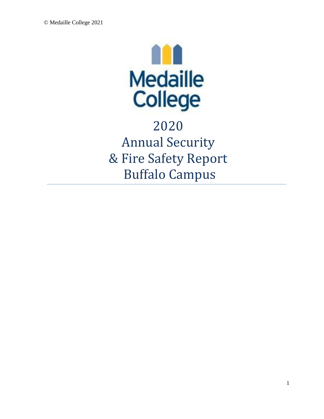

2020 Annual Security & Fire Safety Report Buffalo Campus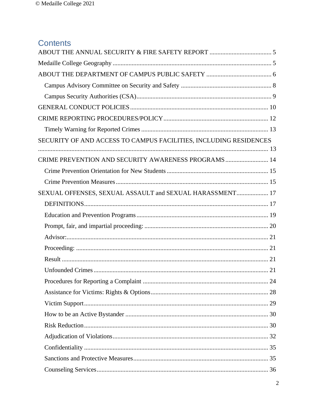| <b>Contents</b> |  |
|-----------------|--|

| SECURITY OF AND ACCESS TO CAMPUS FACILITIES, INCLUDING RESIDENCES |  |
|-------------------------------------------------------------------|--|
|                                                                   |  |
| CRIME PREVENTION AND SECURITY AWARENESS PROGRAMS 14               |  |
|                                                                   |  |
|                                                                   |  |
| SEXUAL OFFENSES, SEXUAL ASSAULT and SEXUAL HARASSMENT 17          |  |
|                                                                   |  |
|                                                                   |  |
|                                                                   |  |
|                                                                   |  |
|                                                                   |  |
|                                                                   |  |
|                                                                   |  |
|                                                                   |  |
|                                                                   |  |
|                                                                   |  |
|                                                                   |  |
|                                                                   |  |
|                                                                   |  |
|                                                                   |  |
|                                                                   |  |
|                                                                   |  |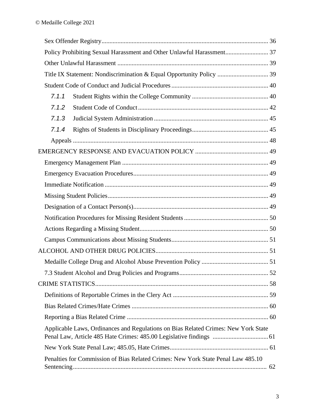|       | Policy Prohibiting Sexual Harassment and Other Unlawful Harassment 37              |      |
|-------|------------------------------------------------------------------------------------|------|
|       |                                                                                    |      |
|       | Title IX Statement: Nondiscrimination & Equal Opportunity Policy  39               |      |
|       |                                                                                    |      |
| 7.1.1 |                                                                                    |      |
| 7.1.2 |                                                                                    |      |
| 7.1.3 |                                                                                    |      |
| 7.1.4 |                                                                                    |      |
|       |                                                                                    |      |
|       |                                                                                    |      |
|       |                                                                                    |      |
|       |                                                                                    |      |
|       |                                                                                    |      |
|       |                                                                                    |      |
|       |                                                                                    |      |
|       |                                                                                    |      |
|       |                                                                                    |      |
|       |                                                                                    |      |
|       |                                                                                    |      |
|       |                                                                                    |      |
|       |                                                                                    | . 52 |
|       |                                                                                    |      |
|       |                                                                                    |      |
|       |                                                                                    |      |
|       |                                                                                    |      |
|       | Applicable Laws, Ordinances and Regulations on Bias Related Crimes: New York State |      |
|       |                                                                                    |      |
|       | Penalties for Commission of Bias Related Crimes: New York State Penal Law 485.10   |      |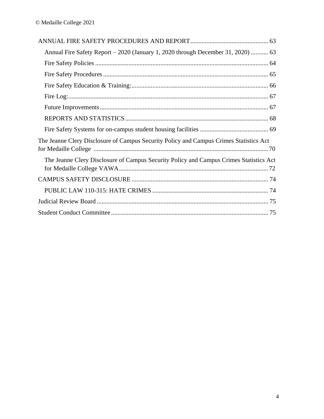| Annual Fire Safety Report – 2020 (January 1, 2020 through December 31, 2020)  63       |
|----------------------------------------------------------------------------------------|
|                                                                                        |
|                                                                                        |
|                                                                                        |
|                                                                                        |
|                                                                                        |
|                                                                                        |
|                                                                                        |
| The Jeanne Clery Disclosure of Campus Security Policy and Campus Crimes Statistics Act |
| The Jeanne Clery Disclosure of Campus Security Policy and Campus Crimes Statistics Act |
|                                                                                        |
|                                                                                        |
|                                                                                        |
|                                                                                        |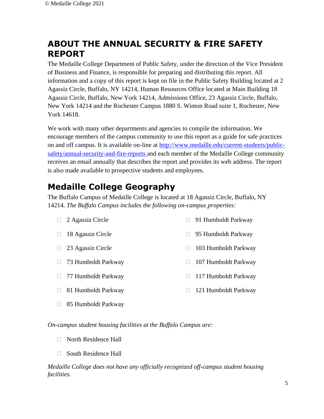# <span id="page-4-0"></span>**ABOUT THE ANNUAL SECURITY & FIRE SAFETY REPORT**

The Medaille College Department of Public Safety, under the direction of the Vice President of Business and Finance, is responsible for preparing and distributing this report. All information and a copy of this report is kept on file in the Public Safety Building located at 2 Agassiz Circle, Buffalo, NY 14214, Human Resources Office located at Main Building 18 Agassiz Circle, Buffalo, New York 14214, Admissions Office, 23 Agassiz Circle, Buffalo, New York 14214 and the Rochester Campus 1880 S. Winton Road suite 1, Rochester, New York 14618.

We work with many other departments and agencies to compile the information. We encourage members of the campus community to use this report as a guide for safe practices on and off campus. It is available on-line at [http://www.medaille.edu/current-students/public](http://www.medaille.edu/current-students/public-safety/annual-security-and-fire-reports)[safety/annual-security-and-fire-reports](http://www.medaille.edu/current-students/public-safety/annual-security-and-fire-reports) and each member of the Medaille College community receives an email annually that describes the report and provides its web address. The report is also made available to prospective students and employees.

# <span id="page-4-1"></span>**Medaille College Geography**

The Buffalo Campus of Medaille College is located at 18 Agassiz Circle, Buffalo, NY 14214. *The Buffalo Campus includes the following on-campus properties:*

95 Humboldt Parkway

□ 103 Humboldt Parkway

□ 117 Humboldt Parkway

□ 121 Humboldt Parkway

- □ 2 Agassiz Circle □ 91 Humboldt Parkway
- □ 18 Agassiz Circle
- □ 23 Agassiz Circle
- □ 73 Humboldt Parkway 107 Humboldt Parkway
- □ 77 Humboldt Parkway
- □ 81 Humboldt Parkway
- 85 Humboldt Parkway

*On-campus student housing facilities at the Buffalo Campus are:*

- □ North Residence Hall
- □ South Residence Hall

*Medaille College does not have any officially recognized off-campus student housing facilities.*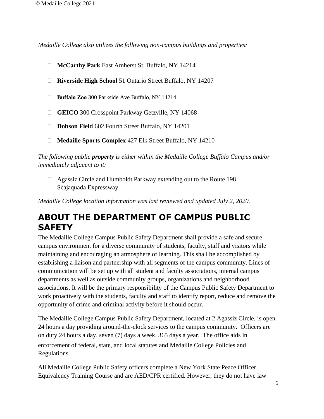*Medaille College also utilizes the following non-campus buildings and properties:*

- **McCarthy Park** East Amherst St. Buffalo, NY 14214
- **Riverside High School** 51 Ontario Street Buffalo, NY 14207
- **Buffalo Zoo** 300 Parkside Ave Buffalo, NY 14214
- **GEICO** 300 Crosspoint Parkway Getzville, NY 14068
- **Dobson Field** 602 Fourth Street Buffalo, NY 14201
- **Medaille Sports Complex** 427 Elk Street Buffalo, NY 14210

*The following public property is either within the Medaille College Buffalo Campus and/or immediately adjacent to it:*

 Agassiz Circle and Humboldt Parkway extending out to the Route 198 Scajaquada Expressway.

*Medaille College location information was last reviewed and updated July 2, 2020.*

# <span id="page-5-0"></span>**ABOUT THE DEPARTMENT OF CAMPUS PUBLIC SAFETY**

The Medaille College Campus Public Safety Department shall provide a safe and secure campus environment for a diverse community of students, faculty, staff and visitors while maintaining and encouraging an atmosphere of learning. This shall be accomplished by establishing a liaison and partnership with all segments of the campus community. Lines of communication will be set up with all student and faculty associations, internal campus departments as well as outside community groups, organizations and neighborhood associations. It will be the primary responsibility of the Campus Public Safety Department to work proactively with the students, faculty and staff to identify report, reduce and remove the opportunity of crime and criminal activity before it should occur.

The Medaille College Campus Public Safety Department, located at 2 Agassiz Circle, is open 24 hours a day providing around-the-clock services to the campus community. Officers are on duty 24 hours a day, seven (7) days a week, 365 days a year. The office aids in enforcement of federal, state, and local statutes and Medaille College Policies and Regulations.

All Medaille College Public Safety officers complete a New York State Peace Officer Equivalency Training Course and are AED/CPR certified. However, they do not have law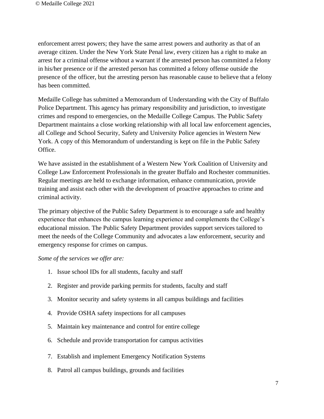enforcement arrest powers; they have the same arrest powers and authority as that of an average citizen. Under the New York State Penal law, every citizen has a right to make an arrest for a criminal offense without a warrant if the arrested person has committed a felony in his/her presence or if the arrested person has committed a felony offense outside the presence of the officer, but the arresting person has reasonable cause to believe that a felony has been committed.

Medaille College has submitted a Memorandum of Understanding with the City of Buffalo Police Department. This agency has primary responsibility and jurisdiction, to investigate crimes and respond to emergencies, on the Medaille College Campus. The Public Safety Department maintains a close working relationship with all local law enforcement agencies, all College and School Security, Safety and University Police agencies in Western New York. A copy of this Memorandum of understanding is kept on file in the Public Safety Office.

We have assisted in the establishment of a Western New York Coalition of University and College Law Enforcement Professionals in the greater Buffalo and Rochester communities. Regular meetings are held to exchange information, enhance communication, provide training and assist each other with the development of proactive approaches to crime and criminal activity.

The primary objective of the Public Safety Department is to encourage a safe and healthy experience that enhances the campus learning experience and complements the College's educational mission. The Public Safety Department provides support services tailored to meet the needs of the College Community and advocates a law enforcement, security and emergency response for crimes on campus.

*Some of the services we offer are:*

- 1. Issue school IDs for all students, faculty and staff
- 2. Register and provide parking permits for students, faculty and staff
- 3. Monitor security and safety systems in all campus buildings and facilities
- 4. Provide OSHA safety inspections for all campuses
- 5. Maintain key maintenance and control for entire college
- 6. Schedule and provide transportation for campus activities
- 7. Establish and implement Emergency Notification Systems
- 8. Patrol all campus buildings, grounds and facilities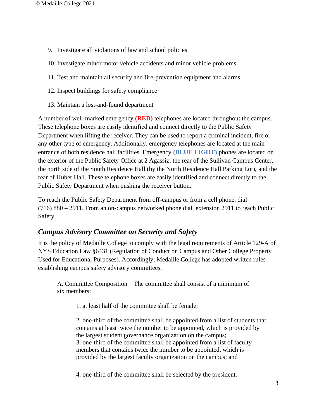- 9. Investigate all violations of law and school policies
- 10. Investigate minor motor vehicle accidents and minor vehicle problems
- 11. Test and maintain all security and fire-prevention equipment and alarms
- 12. Inspect buildings for safety compliance
- 13. Maintain a lost-and-found department

A number of well-marked emergency **(RED)** telephones are located throughout the campus. These telephone boxes are easily identified and connect directly to the Public Safety Department when lifting the receiver. They can be used to report a criminal incident, fire or any other type of emergency. Additionally, emergency telephones are located at the main entrance of both residence hall facilities. Emergency **(BLUE LIGHT)** phones are located on the exterior of the Public Safety Office at 2 Agassiz, the rear of the Sullivan Campus Center, the north side of the South Residence Hall (by the North Residence Hall Parking Lot), and the rear of Huber Hall. These telephone boxes are easily identified and connect directly to the Public Safety Department when pushing the receiver button.

To reach the Public Safety Department from off-campus or from a cell phone, dial (716) 880 – 2911. From an on-campus networked phone dial, extension 2911 to reach Public Safety.

## <span id="page-7-0"></span>*Campus Advisory Committee on Security and Safety*

It is the policy of Medaille College to comply with the legal requirements of Article 129-A of NYS Education Law §6431 (Regulation of Conduct on Campus and Other College Property Used for Educational Purposes). Accordingly, Medaille College has adopted written rules establishing campus safety advisory committees.

A. Committee Composition – The committee shall consist of a minimum of six members:

1. at least half of the committee shall be female;

2. one-third of the committee shall be appointed from a list of students that contains at least twice the number to be appointed, which is provided by the largest student governance organization on the campus; 3. one-third of the committee shall be appointed from a list of faculty members that contains twice the number to be appointed, which is provided by the largest faculty organization on the campus; and

4. one-third of the committee shall be selected by the president.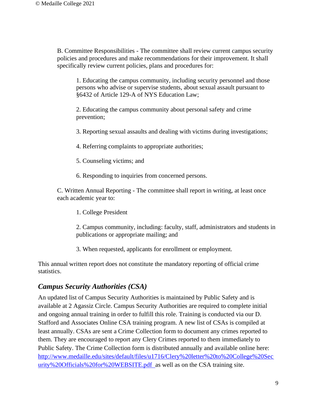B. Committee Responsibilities - The committee shall review current campus security policies and procedures and make recommendations for their improvement. It shall specifically review current policies, plans and procedures for:

1. Educating the campus community, including security personnel and those persons who advise or supervise students, about sexual assault pursuant to §6432 of Article 129-A of NYS Education Law;

2. Educating the campus community about personal safety and crime prevention;

3. Reporting sexual assaults and dealing with victims during investigations;

4. Referring complaints to appropriate authorities;

5. Counseling victims; and

6. Responding to inquiries from concerned persons.

C. Written Annual Reporting - The committee shall report in writing, at least once each academic year to:

1. College President

2. Campus community, including: faculty, staff, administrators and students in publications or appropriate mailing; and

3. When requested, applicants for enrollment or employment.

This annual written report does not constitute the mandatory reporting of official crime statistics.

### <span id="page-8-0"></span>*Campus Security Authorities (CSA)*

An updated list of Campus Security Authorities is maintained by Public Safety and is available at 2 Agassiz Circle. Campus Security Authorities are required to complete initial and ongoing annual training in order to fulfill this role. Training is conducted via our D. Stafford and Associates Online CSA training program. A new list of CSAs is compiled at least annually. CSAs are sent a Crime Collection form to document any crimes reported to them. They are encouraged to report any Clery Crimes reported to them immediately to Public Safety. The Crime Collection form is distributed annually and available online here: [http://www.medaille.edu/sites/default/files/u1716/Clery%20letter%20to%20College%20Sec](http://www.medaille.edu/sites/default/files/u1716/Clery%20letter%20to%20College%20Security%20Officials%20for%20WEBSITE.pdf) [urity%20Officials%20for%20WEBSITE.pdf](http://www.medaille.edu/sites/default/files/u1716/Clery%20letter%20to%20College%20Security%20Officials%20for%20WEBSITE.pdf) as well as on the CSA training site.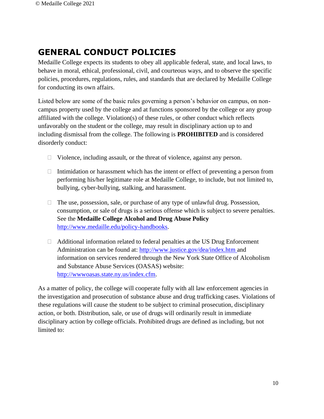# <span id="page-9-0"></span>**GENERAL CONDUCT POLICIES**

Medaille College expects its students to obey all applicable federal, state, and local laws, to behave in moral, ethical, professional, civil, and courteous ways, and to observe the specific policies, procedures, regulations, rules, and standards that are declared by Medaille College for conducting its own affairs.

Listed below are some of the basic rules governing a person's behavior on campus, on noncampus property used by the college and at functions sponsored by the college or any group affiliated with the college. Violation(s) of these rules, or other conduct which reflects unfavorably on the student or the college, may result in disciplinary action up to and including dismissal from the college. The following is **PROHIBITED** and is considered disorderly conduct:

- $\Box$  Violence, including assault, or the threat of violence, against any person.
- $\Box$  Intimidation or harassment which has the intent or effect of preventing a person from performing his/her legitimate role at Medaille College, to include, but not limited to, bullying, cyber-bullying, stalking, and harassment.
- $\Box$  The use, possession, sale, or purchase of any type of unlawful drug. Possession, consumption, or sale of drugs is a serious offense which is subject to severe penalties. See the **Medaille College Alcohol and Drug Abuse Policy**  [http://www.medaille.edu/policy-handbooks.](http://www.medaille.edu/policy-handbooks)
- Additional information related to federal penalties at the US Drug Enforcement Administration can be found at: [http://www.justice.gov/dea/index.htm a](http://www.justice.gov/dea/index.htm)nd information on services rendered through the New York State Office of Alcoholism and Substance Abuse Services (OASAS) website: [http://wwwoasas.state.ny.us/index.cfm.](http://wwwoasas.state.ny.us/index.cfm)

As a matter of policy, the college will cooperate fully with all law enforcement agencies in the investigation and prosecution of substance abuse and drug trafficking cases. Violations of these regulations will cause the student to be subject to criminal prosecution, disciplinary action, or both. Distribution, sale, or use of drugs will ordinarily result in immediate disciplinary action by college officials. Prohibited drugs are defined as including, but not limited to: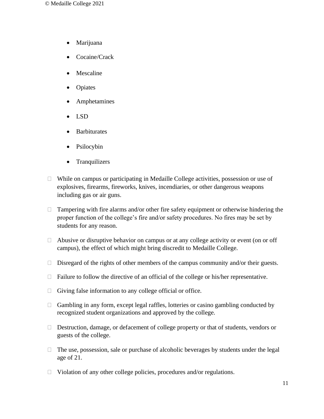- Marijuana
- Cocaine/Crack
- **Mescaline**
- **Opiates**
- Amphetamines
- LSD
- Barbiturates
- Psilocybin
- Tranquilizers
- $\Box$  While on campus or participating in Medaille College activities, possession or use of explosives, firearms, fireworks, knives, incendiaries, or other dangerous weapons including gas or air guns.
- $\Box$  Tampering with fire alarms and/or other fire safety equipment or otherwise hindering the proper function of the college's fire and/or safety procedures. No fires may be set by students for any reason.
- $\Box$  Abusive or disruptive behavior on campus or at any college activity or event (on or off campus), the effect of which might bring discredit to Medaille College.
- $\Box$  Disregard of the rights of other members of the campus community and/or their guests.
- $\Box$  Failure to follow the directive of an official of the college or his/her representative.
- $\Box$  Giving false information to any college official or office.
- $\Box$  Gambling in any form, except legal raffles, lotteries or casino gambling conducted by recognized student organizations and approved by the college.
- □ Destruction, damage, or defacement of college property or that of students, vendors or guests of the college.
- $\Box$  The use, possession, sale or purchase of alcoholic beverages by students under the legal age of 21.
- $\Box$  Violation of any other college policies, procedures and/or regulations.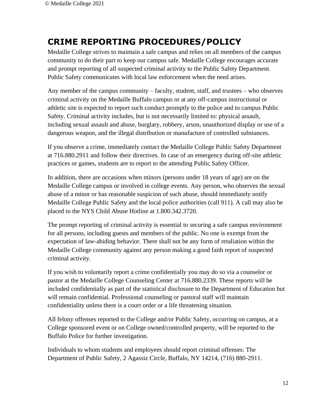# <span id="page-11-0"></span>**CRIME REPORTING PROCEDURES/POLICY**

Medaille College strives to maintain a safe campus and relies on all members of the campus community to do their part to keep our campus safe. Medaille College encourages accurate and prompt reporting of all suspected criminal activity to the Public Safety Department. Public Safety communicates with local law enforcement when the need arises.

Any member of the campus community – faculty, student, staff, and trustees – who observes criminal activity on the Medaille Buffalo campus or at any off-campus instructional or athletic site is expected to report such conduct promptly to the police and to campus Public Safety. Criminal activity includes, but is not necessarily limited to: physical assault, including sexual assault and abuse, burglary, robbery, arson, unauthorized display or use of a dangerous weapon, and the illegal distribution or manufacture of controlled substances.

If you observe a crime, immediately contact the Medaille College Public Safety Department at 716.880.2911 and follow their directives. In case of an emergency during off-site athletic practices or games, students are to report to the attending Public Safety Officer.

In addition, there are occasions when minors (persons under 18 years of age) are on the Medaille College campus or involved in college events. Any person, who observes the sexual abuse of a minor or has reasonable suspicion of such abuse, should immediately notify Medaille College Public Safety and the local police authorities (call 911). A call may also be placed to the NYS Child Abuse Hotline at 1.800.342.3720.

The prompt reporting of criminal activity is essential to securing a safe campus environment for all persons, including guests and members of the public. No one is exempt from the expectation of law-abiding behavior. There shall not be any form of retaliation within the Medaille College community against any person making a good faith report of suspected criminal activity.

If you wish to voluntarily report a crime confidentially you may do so via a counselor or pastor at the Medaille College Counseling Center at 716.880.2339. These reports will be included confidentially as part of the statistical disclosure to the Department of Education but will remain confidential. Professional counseling or pastoral staff will maintain confidentiality unless there is a court order or a life threatening situation.

All felony offenses reported to the College and/or Public Safety, occurring on campus, at a College sponsored event or on College owned/controlled property, will be reported to the Buffalo Police for further investigation.

<span id="page-11-1"></span>Individuals to whom students and employees should report criminal offenses: The Department of Public Safety, 2 Agassiz Circle, Buffalo, NY 14214, (716) 880-2911.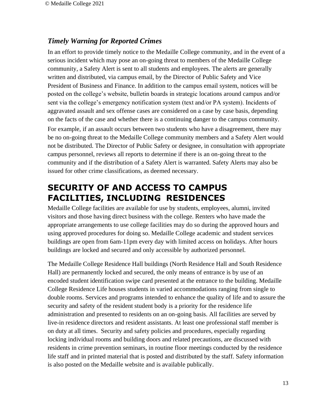## *Timely Warning for Reported Crimes*

In an effort to provide timely notice to the Medaille College community, and in the event of a serious incident which may pose an on-going threat to members of the Medaille College community, a Safety Alert is sent to all students and employees. The alerts are generally written and distributed, via campus email, by the Director of Public Safety and Vice President of Business and Finance. In addition to the campus email system, notices will be posted on the college's website, bulletin boards in strategic locations around campus and/or sent via the college's emergency notification system (text and/or PA system). Incidents of aggravated assault and sex offense cases are considered on a case by case basis, depending on the facts of the case and whether there is a continuing danger to the campus community. For example, if an assault occurs between two students who have a disagreement, there may be no on-going threat to the Medaille College community members and a Safety Alert would not be distributed. The Director of Public Safety or designee, in consultation with appropriate campus personnel, reviews all reports to determine if there is an on-going threat to the community and if the distribution of a Safety Alert is warranted. Safety Alerts may also be issued for other crime classifications, as deemed necessary.

# <span id="page-12-0"></span>**SECURITY OF AND ACCESS TO CAMPUS FACILITIES, INCLUDING RESIDENCES**

Medaille College facilities are available for use by students, employees, alumni, invited visitors and those having direct business with the college. Renters who have made the appropriate arrangements to use college facilities may do so during the approved hours and using approved procedures for doing so. Medaille College academic and student services buildings are open from 6am-11pm every day with limited access on holidays. After hours buildings are locked and secured and only accessible by authorized personnel.

The Medaille College Residence Hall buildings (North Residence Hall and South Residence Hall) are permanently locked and secured, the only means of entrance is by use of an encoded student identification swipe card presented at the entrance to the building. Medaille College Residence Life houses students in varied accommodations ranging from single to double rooms. Services and programs intended to enhance the quality of life and to assure the security and safety of the resident student body is a priority for the residence life administration and presented to residents on an on-going basis. All facilities are served by live-in residence directors and resident assistants. At least one professional staff member is on duty at all times. Security and safety policies and procedures, especially regarding locking individual rooms and building doors and related precautions, are discussed with residents in crime prevention seminars, in routine floor meetings conducted by the residence life staff and in printed material that is posted and distributed by the staff. Safety information is also posted on the Medaille website and is available publically.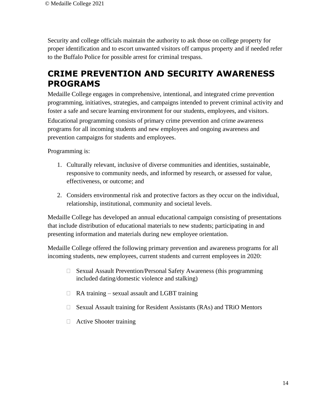Security and college officials maintain the authority to ask those on college property for proper identification and to escort unwanted visitors off campus property and if needed refer to the Buffalo Police for possible arrest for criminal trespass.

# <span id="page-13-0"></span>**CRIME PREVENTION AND SECURITY AWARENESS PROGRAMS**

Medaille College engages in comprehensive, intentional, and integrated crime prevention programming, initiatives, strategies, and campaigns intended to prevent criminal activity and foster a safe and secure learning environment for our students, employees, and visitors.

Educational programming consists of primary crime prevention and crime awareness programs for all incoming students and new employees and ongoing awareness and prevention campaigns for students and employees.

Programming is:

- 1. Culturally relevant, inclusive of diverse communities and identities, sustainable, responsive to community needs, and informed by research, or assessed for value, effectiveness, or outcome; and
- 2. Considers environmental risk and protective factors as they occur on the individual, relationship, institutional, community and societal levels.

Medaille College has developed an annual educational campaign consisting of presentations that include distribution of educational materials to new students; participating in and presenting information and materials during new employee orientation.

Medaille College offered the following primary prevention and awareness programs for all incoming students, new employees, current students and current employees in 2020:

- $\Box$  Sexual Assault Prevention/Personal Safety Awareness (this programming included dating/domestic violence and stalking)
- $\Box$  RA training sexual assault and LGBT training
- □ Sexual Assault training for Resident Assistants (RAs) and TRiO Mentors
- <span id="page-13-1"></span> $\Box$  Active Shooter training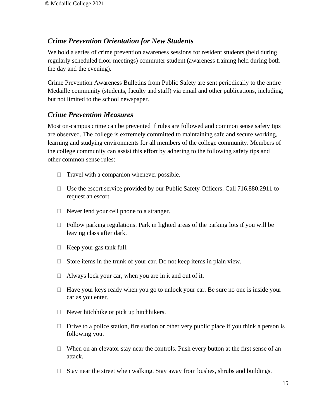## *Crime Prevention Orientation for New Students*

We hold a series of crime prevention awareness sessions for resident students (held during regularly scheduled floor meetings) commuter student (awareness training held during both the day and the evening).

Crime Prevention Awareness Bulletins from Public Safety are sent periodically to the entire Medaille community (students, faculty and staff) via email and other publications, including, but not limited to the school newspaper.

## <span id="page-14-0"></span>*Crime Prevention Measures*

Most on-campus crime can be prevented if rules are followed and common sense safety tips are observed. The college is extremely committed to maintaining safe and secure working, learning and studying environments for all members of the college community. Members of the college community can assist this effort by adhering to the following safety tips and other common sense rules:

- $\Box$  Travel with a companion whenever possible.
- $\Box$  Use the escort service provided by our Public Safety Officers. Call 716.880.2911 to request an escort.
- $\Box$  Never lend your cell phone to a stranger.
- $\Box$  Follow parking regulations. Park in lighted areas of the parking lots if you will be leaving class after dark.
- $\Box$  Keep your gas tank full.
- $\Box$  Store items in the trunk of your car. Do not keep items in plain view.
- $\Box$  Always lock your car, when you are in it and out of it.
- $\Box$  Have your keys ready when you go to unlock your car. Be sure no one is inside your car as you enter.
- $\Box$  Never hitchhike or pick up hitchhikers.
- $\Box$  Drive to a police station, fire station or other very public place if you think a person is following you.
- $\Box$  When on an elevator stay near the controls. Push every button at the first sense of an attack.
- $\Box$  Stay near the street when walking. Stay away from bushes, shrubs and buildings.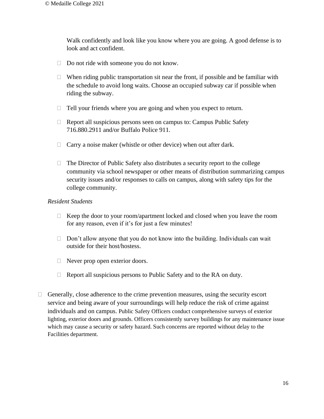Walk confidently and look like you know where you are going. A good defense is to look and act confident.

- $\Box$  Do not ride with someone you do not know.
- $\Box$  When riding public transportation sit near the front, if possible and be familiar with the schedule to avoid long waits. Choose an occupied subway car if possible when riding the subway.
- $\Box$  Tell your friends where you are going and when you expect to return.
- $\Box$  Report all suspicious persons seen on campus to: Campus Public Safety 716.880.2911 and/or Buffalo Police 911.
- $\Box$  Carry a noise maker (whistle or other device) when out after dark.
- $\Box$  The Director of Public Safety also distributes a security report to the college community via school newspaper or other means of distribution summarizing campus security issues and/or responses to calls on campus, along with safety tips for the college community.

#### *Resident Students*

- $\Box$  Keep the door to your room/apartment locked and closed when you leave the room for any reason, even if it's for just a few minutes!
- $\Box$  Don't allow anyone that you do not know into the building. Individuals can wait outside for their host/hostess.
- $\Box$  Never prop open exterior doors.
- $\Box$  Report all suspicious persons to Public Safety and to the RA on duty.
- <span id="page-15-0"></span> $\Box$  Generally, close adherence to the crime prevention measures, using the security escort service and being aware of your surroundings will help reduce the risk of crime against individuals and on campus. Public Safety Officers conduct comprehensive surveys of exterior lighting, exterior doors and grounds. Officers consistently survey buildings for any maintenance issue which may cause a security or safety hazard. Such concerns are reported without delay to the Facilities department.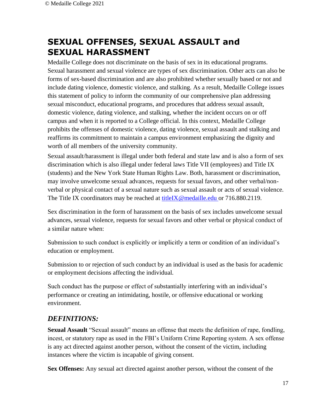# **SEXUAL OFFENSES, SEXUAL ASSAULT and SEXUAL HARASSMENT**

Medaille College does not discriminate on the basis of sex in its educational programs. Sexual harassment and sexual violence are types of sex discrimination. Other acts can also be forms of sex-based discrimination and are also prohibited whether sexually based or not and include dating violence, domestic violence, and stalking. As a result, Medaille College issues this statement of policy to inform the community of our comprehensive plan addressing sexual misconduct, educational programs, and procedures that address sexual assault, domestic violence, dating violence, and stalking, whether the incident occurs on or off campus and when it is reported to a College official. In this context, Medaille College prohibits the offenses of domestic violence, dating violence, sexual assault and stalking and reaffirms its commitment to maintain a campus environment emphasizing the dignity and worth of all members of the university community.

Sexual assault/harassment is illegal under both federal and state law and is also a form of sex discrimination which is also illegal under federal laws Title VII (employees) and Title IX (students) and the New York State Human Rights Law. Both, harassment or discrimination, may involve unwelcome sexual advances, requests for sexual favors, and other verbal/nonverbal or physical contact of a sexual nature such as sexual assault or acts of sexual violence. The Title IX coordinators may be reached at [titleIX@medaille.edu](mailto:titleIX@medaille.edu) or 716.880.2119.

Sex discrimination in the form of harassment on the basis of sex includes unwelcome sexual advances, sexual violence, requests for sexual favors and other verbal or physical conduct of a similar nature when:

Submission to such conduct is explicitly or implicitly a term or condition of an individual's education or employment.

Submission to or rejection of such conduct by an individual is used as the basis for academic or employment decisions affecting the individual.

Such conduct has the purpose or effect of substantially interfering with an individual's performance or creating an intimidating, hostile, or offensive educational or working environment.

# <span id="page-16-0"></span>*DEFINITIONS:*

**Sexual Assault** "Sexual assault" means an offense that meets the definition of rape, fondling, incest, or statutory rape as used in the FBI's Uniform Crime Reporting system. A sex offense is any act directed against another person, without the consent of the victim, including instances where the victim is incapable of giving consent.

**Sex Offenses:** Any sexual act directed against another person, without the consent of the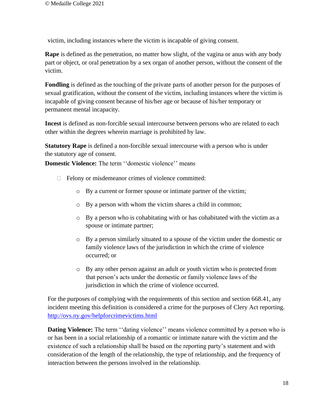victim, including instances where the victim is incapable of giving consent.

**Rape** is defined as the penetration, no matter how slight, of the vagina or anus with any body part or object, or oral penetration by a sex organ of another person, without the consent of the victim.

**Fondling** is defined as the touching of the private parts of another person for the purposes of sexual gratification, without the consent of the victim, including instances where the victim is incapable of giving consent because of his/her age or because of his/her temporary or permanent mental incapacity.

**Incest** is defined as non-forcible sexual intercourse between persons who are related to each other within the degrees wherein marriage is prohibited by law.

**Statutory Rape** is defined a non-forcible sexual intercourse with a person who is under the statutory age of consent.

**Domestic Violence:** The term "domestic violence" means

- $\Box$  Felony or misdemeanor crimes of violence committed:
	- o By a current or former spouse or intimate partner of the victim;
	- o By a person with whom the victim shares a child in common;
	- o By a person who is cohabitating with or has cohabitated with the victim as a spouse or intimate partner;
	- o By a person similarly situated to a spouse of the victim under the domestic or family violence laws of the jurisdiction in which the crime of violence occurred; or
	- o By any other person against an adult or youth victim who is protected from that person's acts under the domestic or family violence laws of the jurisdiction in which the crime of violence occurred.

For the purposes of complying with the requirements of this section and section 668.41, any incident meeting this definition is considered a crime for the purposes of Clery Act reporting. <http://ovs.ny.gov/helpforcrimevictims.html>

**Dating Violence:** The term "dating violence" means violence committed by a person who is or has been in a social relationship of a romantic or intimate nature with the victim and the existence of such a relationship shall be based on the reporting party's statement and with consideration of the length of the relationship, the type of relationship, and the frequency of interaction between the persons involved in the relationship.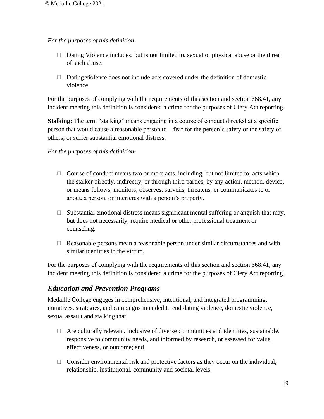### *For the purposes of this definition-*

- $\Box$  Dating Violence includes, but is not limited to, sexual or physical abuse or the threat of such abuse.
- $\Box$  Dating violence does not include acts covered under the definition of domestic violence.

For the purposes of complying with the requirements of this section and section 668.41, any incident meeting this definition is considered a crime for the purposes of Clery Act reporting.

**Stalking:** The term "stalking" means engaging in a course of conduct directed at a specific person that would cause a reasonable person to—fear for the person's safety or the safety of others; or suffer substantial emotional distress.

### *For the purposes of this definition-*

- $\Box$  Course of conduct means two or more acts, including, but not limited to, acts which the stalker directly, indirectly, or through third parties, by any action, method, device, or means follows, monitors, observes, surveils, threatens, or communicates to or about, a person, or interferes with a person's property.
- $\Box$  Substantial emotional distress means significant mental suffering or anguish that may, but does not necessarily, require medical or other professional treatment or counseling.
- $\Box$  Reasonable persons mean a reasonable person under similar circumstances and with similar identities to the victim.

For the purposes of complying with the requirements of this section and section 668.41, any incident meeting this definition is considered a crime for the purposes of Clery Act reporting.

## <span id="page-18-0"></span>*Education and Prevention Programs*

Medaille College engages in comprehensive, intentional, and integrated programming, initiatives, strategies, and campaigns intended to end dating violence, domestic violence, sexual assault and stalking that:

- $\Box$  Are culturally relevant, inclusive of diverse communities and identities, sustainable, responsive to community needs, and informed by research, or assessed for value, effectiveness, or outcome; and
- $\Box$  Consider environmental risk and protective factors as they occur on the individual, relationship, institutional, community and societal levels.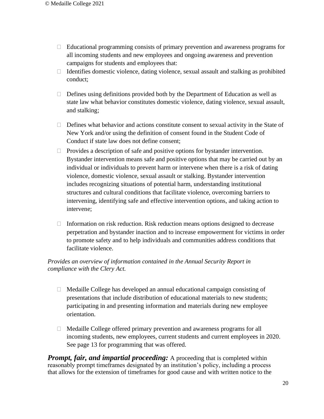- $\Box$  Educational programming consists of primary prevention and awareness programs for all incoming students and new employees and ongoing awareness and prevention campaigns for students and employees that:
- $\Box$  Identifies domestic violence, dating violence, sexual assault and stalking as prohibited conduct;
- $\Box$  Defines using definitions provided both by the Department of Education as well as state law what behavior constitutes domestic violence, dating violence, sexual assault, and stalking;
- $\Box$  Defines what behavior and actions constitute consent to sexual activity in the State of New York and/or using the definition of consent found in the Student Code of Conduct if state law does not define consent;
- $\Box$  Provides a description of safe and positive options for bystander intervention. Bystander intervention means safe and positive options that may be carried out by an individual or individuals to prevent harm or intervene when there is a risk of dating violence, domestic violence, sexual assault or stalking. Bystander intervention includes recognizing situations of potential harm, understanding institutional structures and cultural conditions that facilitate violence, overcoming barriers to intervening, identifying safe and effective intervention options, and taking action to intervene;
- $\Box$  Information on risk reduction. Risk reduction means options designed to decrease perpetration and bystander inaction and to increase empowerment for victims in order to promote safety and to help individuals and communities address conditions that facilitate violence.

#### *Provides an overview of information contained in the Annual Security Report in compliance with the Clery Act.*

- $\Box$  Medaille College has developed an annual educational campaign consisting of presentations that include distribution of educational materials to new students; participating in and presenting information and materials during new employee orientation.
- $\Box$  Medaille College offered primary prevention and awareness programs for all incoming students, new employees, current students and current employees in 2020. See page 13 for programming that was offered.

<span id="page-19-0"></span>*Prompt, fair, and impartial proceeding:* A proceeding that is completed within reasonably prompt timeframes designated by an institution's policy, including a process that allows for the extension of timeframes for good cause and with written notice to the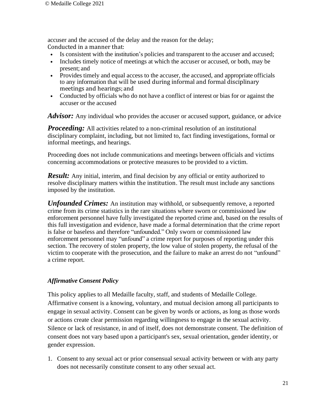accuser and the accused of the delay and the reason for the delay; Conducted in a manner that:

- Is consistent with the institution's policies and transparent to the accuser and accused;
- Includes timely notice of meetings at which the accuser or accused, or both, may be present; and
- Provides timely and equal access to the accuser, the accused, and appropriate officials to any information that will be used during informal and formal disciplinary meetings and hearings;and
- Conducted by officials who do not have a conflict of interest or bias for or against the accuser or the accused

<span id="page-20-0"></span>*Advisor:* Any individual who provides the accuser or accused support, guidance, or advice

<span id="page-20-1"></span>*Proceeding:* All activities related to a non-criminal resolution of an institutional disciplinary complaint, including, but not limited to, fact finding investigations, formal or informal meetings, and hearings.

Proceeding does not include communications and meetings between officials and victims concerning accommodations or protective measures to be provided to a victim.

<span id="page-20-2"></span>*Result:* Any initial, interim, and final decision by any official or entity authorized to resolve disciplinary matters within the institution. The result must include any sanctions imposed by the institution.

<span id="page-20-3"></span>*Unfounded Crimes:* An institution may withhold, or subsequently remove, a reported crime from its crime statistics in the rare situations where sworn or commissioned law enforcement personnel have fully investigated the reported crime and, based on the results of this full investigation and evidence, have made a formal determination that the crime report is false or baseless and therefore "unfounded." Only sworn or commissioned law enforcement personnel may "unfound" a crime report for purposes of reporting under this section. The recovery of stolen property, the low value of stolen property, the refusal of the victim to cooperate with the prosecution, and the failure to make an arrest do not "unfound" a crime report.

### *Affirmative Consent Policy*

This policy applies to all Medaille faculty, staff, and students of Medaille College. Affirmative consent is a knowing, voluntary, and mutual decision among all participants to engage in sexual activity. Consent can be given by words or actions, as long as those words or actions create clear permission regarding willingness to engage in the sexual activity. Silence or lack of resistance, in and of itself, does not demonstrate consent. The definition of consent does not vary based upon a participant's sex, sexual orientation, gender identity, or gender expression.

1. Consent to any sexual act or prior consensual sexual activity between or with any party does not necessarily constitute consent to any other sexual act.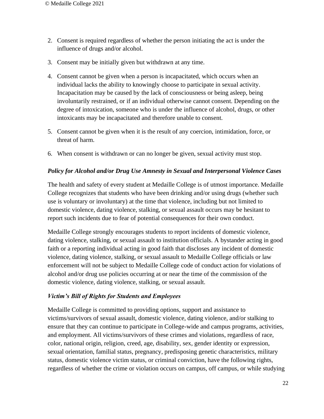- 2. Consent is required regardless of whether the person initiating the act is under the influence of drugs and/or alcohol.
- 3. Consent may be initially given but withdrawn at any time.
- 4. Consent cannot be given when a person is incapacitated, which occurs when an individual lacks the ability to knowingly choose to participate in sexual activity. Incapacitation may be caused by the lack of consciousness or being asleep, being involuntarily restrained, or if an individual otherwise cannot consent. Depending on the degree of intoxication, someone who is under the influence of alcohol, drugs, or other intoxicants may be incapacitated and therefore unable to consent.
- 5. Consent cannot be given when it is the result of any coercion, intimidation, force, or threat of harm.
- 6. When consent is withdrawn or can no longer be given, sexual activity must stop.

#### *Policy for Alcohol and/or Drug Use Amnesty in Sexual and Interpersonal Violence Cases*

The health and safety of every student at Medaille College is of utmost importance. Medaille College recognizes that students who have been drinking and/or using drugs (whether such use is voluntary or involuntary) at the time that violence, including but not limited to domestic violence, dating violence, stalking, or sexual assault occurs may be hesitant to report such incidents due to fear of potential consequences for their own conduct.

Medaille College strongly encourages students to report incidents of domestic violence, dating violence, stalking, or sexual assault to institution officials. A bystander acting in good faith or a reporting individual acting in good faith that discloses any incident of domestic violence, dating violence, stalking, or sexual assault to Medaille College officials or law enforcement will not be subject to Medaille College code of conduct action for violations of alcohol and/or drug use policies occurring at or near the time of the commission of the domestic violence, dating violence, stalking, or sexual assault.

### *Victim's Bill of Rights for Students and Employees*

Medaille College is committed to providing options, support and assistance to victims/survivors of sexual assault, domestic violence, dating violence, and/or stalking to ensure that they can continue to participate in College-wide and campus programs, activities, and employment. All victims/survivors of these crimes and violations, regardless of race, color, national origin, religion, creed, age, disability, sex, gender identity or expression, sexual orientation, familial status, pregnancy, predisposing genetic characteristics, military status, domestic violence victim status, or criminal conviction, have the following rights, regardless of whether the crime or violation occurs on campus, off campus, or while studying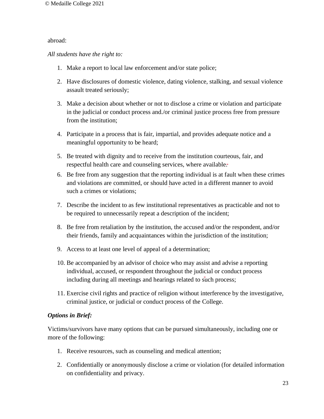abroad:

*All students have the right to:*

- 1. Make a report to local law enforcement and/or state police;
- 2. Have disclosures of domestic violence, dating violence, stalking, and sexual violence assault treated seriously;
- 3. Make a decision about whether or not to disclose a crime or violation and participate in the judicial or conduct process and./or criminal justice process free from pressure from the institution;
- 4. Participate in a process that is fair, impartial, and provides adequate notice and a meaningful opportunity to be heard;
- 5. Be treated with dignity and to receive from the institution courteous, fair, and respectful health care and counseling services, where available.
- 6. Be free from any suggestion that the reporting individual is at fault when these crimes and violations are committed, or should have acted in a different manner to avoid such a crimes or violations;
- 7. Describe the incident to as few institutional representatives as practicable and not to be required to unnecessarily repeat a description of the incident;
- 8. Be free from retaliation by the institution, the accused and/or the respondent, and/or their friends, family and acquaintances within the jurisdiction of the institution;
- 9. Access to at least one level of appeal of a determination;
- 10. Be accompanied by an advisor of choice who may assist and advise a reporting individual, accused, or respondent throughout the judicial or conduct process including during all meetings and hearings related to such process;
- 11. Exercise civil rights and practice of religion without interference by the investigative, criminal justice, or judicial or conduct process of the College.

#### *Options in Brief:*

Victims/survivors have many options that can be pursued simultaneously, including one or more of the following:

- 1. Receive resources, such as counseling and medical attention;
- 2. Confidentially or anonymously disclose a crime or violation (for detailed information on confidentiality and privacy.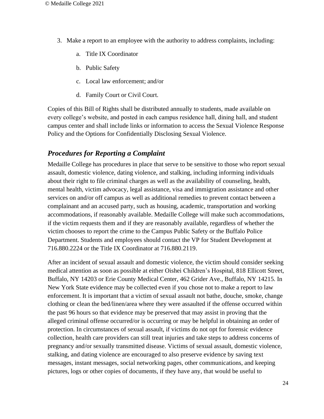- 3. Make a report to an employee with the authority to address complaints, including:
	- a. Title IX Coordinator
	- b. Public Safety
	- c. Local law enforcement; and/or
	- d. Family Court or Civil Court.

Copies of this Bill of Rights shall be distributed annually to students, made available on every college's website, and posted in each campus residence hall, dining hall, and student campus center and shall include links or information to access the Sexual Violence Response Policy and the Options for Confidentially Disclosing Sexual Violence.

### <span id="page-23-0"></span>*Procedures for Reporting a Complaint*

Medaille College has procedures in place that serve to be sensitive to those who report sexual assault, domestic violence, dating violence, and stalking, including informing individuals about their right to file criminal charges as well as the availability of counseling, health, mental health, victim advocacy, legal assistance, visa and immigration assistance and other services on and/or off campus as well as additional remedies to prevent contact between a complainant and an accused party, such as housing, academic, transportation and working accommodations, if reasonably available. Medaille College will make such accommodations, if the victim requests them and if they are reasonably available, regardless of whether the victim chooses to report the crime to the Campus Public Safety or the Buffalo Police Department. Students and employees should contact the VP for Student Development at 716.880.2224 or the Title IX Coordinator at 716.880.2119.

After an incident of sexual assault and domestic violence, the victim should consider seeking medical attention as soon as possible at either Oishei Children's Hospital, 818 Ellicott Street, Buffalo, NY 14203 or Erie County Medical Center, 462 Grider Ave., Buffalo, NY 14215. In New York State evidence may be collected even if you chose not to make a report to law enforcement. It is important that a victim of sexual assault not bathe, douche, smoke, change clothing or clean the bed/linen/area where they were assaulted if the offense occurred within the past 96 hours so that evidence may be preserved that may assist in proving that the alleged criminal offense occurred/or is occurring or may be helpful in obtaining an order of protection. In circumstances of sexual assault, if victims do not opt for forensic evidence collection, health care providers can still treat injuries and take steps to address concerns of pregnancy and/or sexually transmitted disease. Victims of sexual assault, domestic violence, stalking, and dating violence are encouraged to also preserve evidence by saving text messages, instant messages, social networking pages, other communications, and keeping pictures, logs or other copies of documents, if they have any, that would be useful to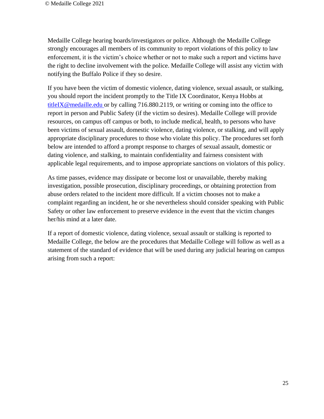Medaille College hearing boards/investigators or police. Although the Medaille College strongly encourages all members of its community to report violations of this policy to law enforcement, it is the victim's choice whether or not to make such a report and victims have the right to decline involvement with the police. Medaille College will assist any victim with notifying the Buffalo Police if they so desire.

If you have been the victim of domestic violence, dating violence, sexual assault, or stalking, you should report the incident promptly to the Title IX Coordinator, Kenya Hobbs at [titleIX@medaille.edu](mailto:titleIX@medaille.edu) or by calling 716.880.2119, or writing or coming into the office to report in person and Public Safety (if the victim so desires). Medaille College will provide resources, on campus off campus or both, to include medical, health, to persons who have been victims of sexual assault, domestic violence, dating violence, or stalking, and will apply appropriate disciplinary procedures to those who violate this policy. The procedures set forth below are intended to afford a prompt response to charges of sexual assault, domestic or dating violence, and stalking, to maintain confidentiality and fairness consistent with applicable legal requirements, and to impose appropriate sanctions on violators of this policy.

As time passes, evidence may dissipate or become lost or unavailable, thereby making investigation, possible prosecution, disciplinary proceedings, or obtaining protection from abuse orders related to the incident more difficult. If a victim chooses not to make a complaint regarding an incident, he or she nevertheless should consider speaking with Public Safety or other law enforcement to preserve evidence in the event that the victim changes her/his mind at a later date.

If a report of domestic violence, dating violence, sexual assault or stalking is reported to Medaille College, the below are the procedures that Medaille College will follow as well as a statement of the standard of evidence that will be used during any judicial hearing on campus arising from such a report: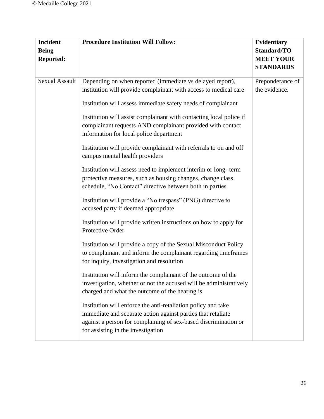| <b>Incident</b><br><b>Being</b><br><b>Reported:</b> | <b>Procedure Institution Will Follow:</b>                                                                                                                                                                                                                                                                                                                                                                                                                                                                                                                                                                                                                                                                                                                                                                                                                                                                                                                                                                                                                                                                                                                                                                                                                                                                                                                                                                                                                                                             | <b>Evidentiary</b><br>Standard/TO<br><b>MEET YOUR</b><br><b>STANDARDS</b> |
|-----------------------------------------------------|-------------------------------------------------------------------------------------------------------------------------------------------------------------------------------------------------------------------------------------------------------------------------------------------------------------------------------------------------------------------------------------------------------------------------------------------------------------------------------------------------------------------------------------------------------------------------------------------------------------------------------------------------------------------------------------------------------------------------------------------------------------------------------------------------------------------------------------------------------------------------------------------------------------------------------------------------------------------------------------------------------------------------------------------------------------------------------------------------------------------------------------------------------------------------------------------------------------------------------------------------------------------------------------------------------------------------------------------------------------------------------------------------------------------------------------------------------------------------------------------------------|---------------------------------------------------------------------------|
| <b>Sexual Assault</b>                               | Depending on when reported (immediate vs delayed report),<br>institution will provide complainant with access to medical care<br>Institution will assess immediate safety needs of complainant<br>Institution will assist complainant with contacting local police if<br>complainant requests AND complainant provided with contact<br>information for local police department<br>Institution will provide complainant with referrals to on and off<br>campus mental health providers<br>Institution will assess need to implement interim or long-term<br>protective measures, such as housing changes, change class<br>schedule, "No Contact" directive between both in parties<br>Institution will provide a "No trespass" (PNG) directive to<br>accused party if deemed appropriate<br>Institution will provide written instructions on how to apply for<br>Protective Order<br>Institution will provide a copy of the Sexual Misconduct Policy<br>to complainant and inform the complainant regarding timeframes<br>for inquiry, investigation and resolution<br>Institution will inform the complainant of the outcome of the<br>investigation, whether or not the accused will be administratively<br>charged and what the outcome of the hearing is<br>Institution will enforce the anti-retaliation policy and take<br>immediate and separate action against parties that retaliate<br>against a person for complaining of sex-based discrimination or<br>for assisting in the investigation | Preponderance of<br>the evidence.                                         |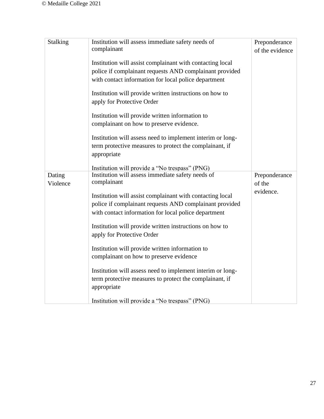| <b>Stalking</b> | Institution will assess immediate safety needs of                                                                     | Preponderance   |
|-----------------|-----------------------------------------------------------------------------------------------------------------------|-----------------|
|                 | complainant                                                                                                           | of the evidence |
|                 | Institution will assist complainant with contacting local                                                             |                 |
|                 | police if complainant requests AND complainant provided                                                               |                 |
|                 | with contact information for local police department                                                                  |                 |
|                 | Institution will provide written instructions on how to<br>apply for Protective Order                                 |                 |
|                 |                                                                                                                       |                 |
|                 | Institution will provide written information to<br>complainant on how to preserve evidence.                           |                 |
|                 | Institution will assess need to implement interim or long-<br>term protective measures to protect the complainant, if |                 |
|                 | appropriate                                                                                                           |                 |
|                 | Institution will provide a "No trespass" (PNG)                                                                        |                 |
| Dating          | Institution will assess immediate safety needs of                                                                     | Preponderance   |
| Violence        | complainant                                                                                                           | of the          |
|                 | Institution will assist complainant with contacting local                                                             | evidence.       |
|                 | police if complainant requests AND complainant provided                                                               |                 |
|                 | with contact information for local police department                                                                  |                 |
|                 | Institution will provide written instructions on how to<br>apply for Protective Order                                 |                 |
|                 |                                                                                                                       |                 |
|                 | Institution will provide written information to<br>complainant on how to preserve evidence                            |                 |
|                 | Institution will assess need to implement interim or long-                                                            |                 |
|                 | term protective measures to protect the complainant, if<br>appropriate                                                |                 |
|                 | Institution will provide a "No trespass" (PNG)                                                                        |                 |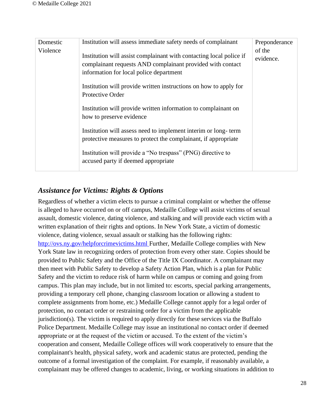| Institution will assess immediate safety needs of complainant<br>Domestic<br>Violence<br>of the<br>Institution will assist complainant with contacting local police if<br>complainant requests AND complainant provided with contact<br>information for local police department<br>Institution will provide written instructions on how to apply for<br>Protective Order<br>Institution will provide written information to complainant on<br>how to preserve evidence<br>Institution will assess need to implement interim or long-term<br>protective measures to protect the complainant, if appropriate<br>Institution will provide a "No trespass" (PNG) directive to<br>accused party if deemed appropriate | Preponderance<br>evidence. |
|------------------------------------------------------------------------------------------------------------------------------------------------------------------------------------------------------------------------------------------------------------------------------------------------------------------------------------------------------------------------------------------------------------------------------------------------------------------------------------------------------------------------------------------------------------------------------------------------------------------------------------------------------------------------------------------------------------------|----------------------------|
|------------------------------------------------------------------------------------------------------------------------------------------------------------------------------------------------------------------------------------------------------------------------------------------------------------------------------------------------------------------------------------------------------------------------------------------------------------------------------------------------------------------------------------------------------------------------------------------------------------------------------------------------------------------------------------------------------------------|----------------------------|

## <span id="page-27-0"></span>*Assistance for Victims: Rights & Options*

Regardless of whether a victim elects to pursue a criminal complaint or whether the offense is alleged to have occurred on or off campus, Medaille College will assist victims of sexual assault, domestic violence, dating violence, and stalking and will provide each victim with a written explanation of their rights and options. In New York State, a victim of domestic violence, dating violence, sexual assault or stalking has the following rights: [http://ovs.ny.gov/helpforcrimevictims.html F](http://ovs.ny.gov/helpforcrimevictims.html)urther, Medaille College complies with New York State law in recognizing orders of protection from every other state. Copies should be provided to Public Safety and the Office of the Title IX Coordinator. A complainant may then meet with Public Safety to develop a Safety Action Plan, which is a plan for Public Safety and the victim to reduce risk of harm while on campus or coming and going from campus. This plan may include, but in not limited to: escorts, special parking arrangements, providing a temporary cell phone, changing classroom location or allowing a student to complete assignments from home, etc.) Medaille College cannot apply for a legal order of protection, no contact order or restraining order for a victim from the applicable jurisdiction(s). The victim is required to apply directly for these services via the Buffalo Police Department. Medaille College may issue an institutional no contact order if deemed appropriate or at the request of the victim or accused. To the extent of the victim's cooperation and consent, Medaille College offices will work cooperatively to ensure that the complainant's health, physical safety, work and academic status are protected, pending the outcome of a formal investigation of the complaint. For example, if reasonably available, a complainant may be offered changes to academic, living, or working situations in addition to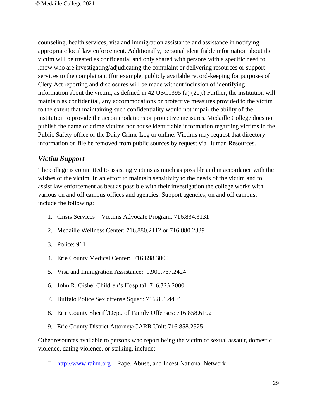counseling, health services, visa and immigration assistance and assistance in notifying appropriate local law enforcement. Additionally, personal identifiable information about the victim will be treated as confidential and only shared with persons with a specific need to know who are investigating/adjudicating the complaint or delivering resources or support services to the complainant (for example, publicly available record-keeping for purposes of Clery Act reporting and disclosures will be made without inclusion of identifying information about the victim, as defined in 42 USC1395 (a) (20).) Further, the institution will maintain as confidential, any accommodations or protective measures provided to the victim to the extent that maintaining such confidentiality would not impair the ability of the institution to provide the accommodations or protective measures. Medaille College does not publish the name of crime victims nor house identifiable information regarding victims in the Public Safety office or the Daily Crime Log or online. Victims may request that directory information on file be removed from public sources by request via Human Resources.

#### <span id="page-28-0"></span>*Victim Support*

The college is committed to assisting victims as much as possible and in accordance with the wishes of the victim. In an effort to maintain sensitivity to the needs of the victim and to assist law enforcement as best as possible with their investigation the college works with various on and off campus offices and agencies. Support agencies, on and off campus, include the following:

- 1. Crisis Services Victims Advocate Program: 716.834.3131
- 2. Medaille Wellness Center: 716.880.2112 or 716.880.2339
- 3. Police: 911
- 4. Erie County Medical Center: 716.898.3000
- 5. Visa and Immigration Assistance: 1.901.767.2424
- 6. John R. Oishei Children's Hospital: 716.323.2000
- 7. Buffalo Police Sex offense Squad: 716.851.4494
- 8. Erie County Sheriff/Dept. of Family Offenses: 716.858.6102
- 9. Erie County District Attorney/CARR Unit: 716.858.2525

Other resources available to persons who report being the victim of sexual assault, domestic violence, dating violence, or stalking, include:

□ [http://www.rainn.org –](http://www.rainn.org/) Rape, Abuse, and Incest National Network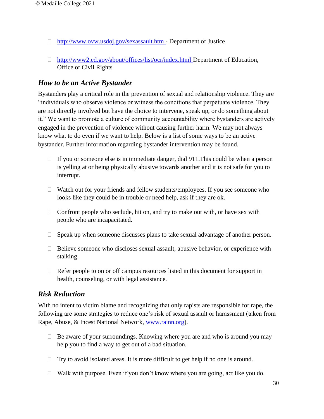- [http://www.ovw.usdoj.gov/sexassault.htm -](http://www.ovw.usdoj.gov/sexassault.htm) Department of Justice
- □ [http://www2.ed.gov/about/offices/list/ocr/index.html D](http://www2.ed.gov/about/offices/list/ocr/index.html)epartment of Education, Office of Civil Rights

## <span id="page-29-0"></span>*How to be an Active Bystander*

Bystanders play a critical role in the prevention of sexual and relationship violence. They are "individuals who observe violence or witness the conditions that perpetuate violence. They are not directly involved but have the choice to intervene, speak up, or do something about it." We want to promote a culture of community accountability where bystanders are actively engaged in the prevention of violence without causing further harm. We may not always know what to do even if we want to help. Below is a list of some ways to be an active bystander. Further information regarding bystander intervention may be found.

- $\Box$  If you or someone else is in immediate danger, dial 911. This could be when a person is yelling at or being physically abusive towards another and it is not safe for you to interrupt.
- $\Box$  Watch out for your friends and fellow students/employees. If you see someone who looks like they could be in trouble or need help, ask if they are ok.
- $\Box$  Confront people who seclude, hit on, and try to make out with, or have sex with people who are incapacitated.
- $\Box$  Speak up when someone discusses plans to take sexual advantage of another person.
- $\Box$  Believe someone who discloses sexual assault, abusive behavior, or experience with stalking.
- $\Box$  Refer people to on or off campus resources listed in this document for support in health, counseling, or with legal assistance.

## <span id="page-29-1"></span>*Risk Reduction*

With no intent to victim blame and recognizing that only rapists are responsible for rape, the following are some strategies to reduce one's risk of sexual assault or harassment (taken from Rape, Abuse, & Incest National Network, [www.rainn.org\)](http://www.rainn.org/).

- $\Box$  Be aware of your surroundings. Knowing where you are and who is around you may help you to find a way to get out of a bad situation.
- $\Box$  Try to avoid isolated areas. It is more difficult to get help if no one is around.
- $\Box$  Walk with purpose. Even if you don't know where you are going, act like you do.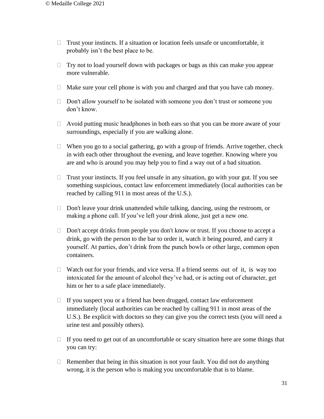- $\Box$  Trust your instincts. If a situation or location feels unsafe or uncomfortable, it probably isn't the best place to be.
- $\Box$  Try not to load yourself down with packages or bags as this can make you appear more vulnerable.
- $\Box$  Make sure your cell phone is with you and charged and that you have cab money.
- $\Box$  Don't allow yourself to be isolated with someone you don't trust or someone you don't know.
- $\Box$  Avoid putting music headphones in both ears so that you can be more aware of your surroundings, especially if you are walking alone.
- $\Box$  When you go to a social gathering, go with a group of friends. Arrive together, check in with each other throughout the evening, and leave together. Knowing where you are and who is around you may help you to find a way out of a bad situation.
- $\Box$  Trust your instincts. If you feel unsafe in any situation, go with your gut. If you see something suspicious, contact law enforcement immediately (local authorities can be reached by calling 911 in most areas of the U.S.).
- $\Box$  Don't leave your drink unattended while talking, dancing, using the restroom, or making a phone call. If you've left your drink alone, just get a new one.
- $\Box$  Don't accept drinks from people you don't know or trust. If you choose to accept a drink, go with the person to the bar to order it, watch it being poured, and carry it yourself. At parties, don't drink from the punch bowls or other large, common open containers.
- $\Box$  Watch out for your friends, and vice versa. If a friend seems out of it, is way too intoxicated for the amount of alcohol they've had, or is acting out of character, get him or her to a safe place immediately.
- $\Box$  If you suspect you or a friend has been drugged, contact law enforcement immediately (local authorities can be reached by calling 911 in most areas of the U.S.). Be explicit with doctors so they can give you the correct tests (you will need a urine test and possibly others).
- $\Box$  If you need to get out of an uncomfortable or scary situation here are some things that you can try:
- $\Box$  Remember that being in this situation is not your fault. You did not do anything wrong, it is the person who is making you uncomfortable that is to blame.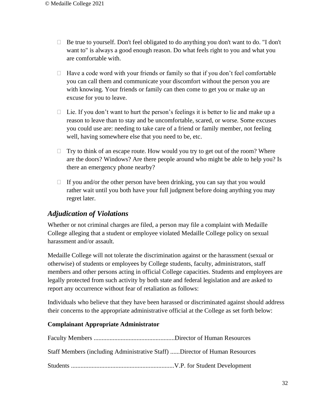- $\Box$  Be true to yourself. Don't feel obligated to do anything you don't want to do. "I don't want to" is always a good enough reason. Do what feels right to you and what you are comfortable with.
- $\Box$  Have a code word with your friends or family so that if you don't feel comfortable you can call them and communicate your discomfort without the person you are with knowing. Your friends or family can then come to get you or make up an excuse for you to leave.
- $\Box$  Lie. If you don't want to hurt the person's feelings it is better to lie and make up a reason to leave than to stay and be uncomfortable, scared, or worse. Some excuses you could use are: needing to take care of a friend or family member, not feeling well, having somewhere else that you need to be, etc.
- $\Box$  Try to think of an escape route. How would you try to get out of the room? Where are the doors? Windows? Are there people around who might be able to help you? Is there an emergency phone nearby?
- $\Box$  If you and/or the other person have been drinking, you can say that you would rather wait until you both have your full judgment before doing anything you may regret later.

## <span id="page-31-0"></span>*Adjudication of Violations*

Whether or not criminal charges are filed, a person may file a complaint with Medaille College alleging that a student or employee violated Medaille College policy on sexual harassment and/or assault.

Medaille College will not tolerate the discrimination against or the harassment (sexual or otherwise) of students or employees by College students, faculty, administrators, staff members and other persons acting in official College capacities. Students and employees are legally protected from such activity by both state and federal legislation and are asked to report any occurrence without fear of retaliation as follows:

Individuals who believe that they have been harassed or discriminated against should address their concerns to the appropriate administrative official at the College as set forth below:

### **Complainant Appropriate Administrator**

| Staff Members (including Administrative Staff) Director of Human Resources |  |
|----------------------------------------------------------------------------|--|
|                                                                            |  |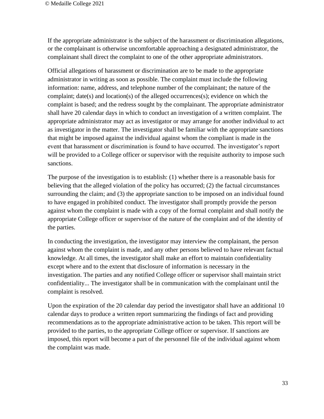If the appropriate administrator is the subject of the harassment or discrimination allegations, or the complainant is otherwise uncomfortable approaching a designated administrator, the complainant shall direct the complaint to one of the other appropriate administrators.

Official allegations of harassment or discrimination are to be made to the appropriate administrator in writing as soon as possible. The complaint must include the following information: name, address, and telephone number of the complainant; the nature of the complaint; date(s) and location(s) of the alleged occurrences(s); evidence on which the complaint is based; and the redress sought by the complainant. The appropriate administrator shall have 20 calendar days in which to conduct an investigation of a written complaint. The appropriate administrator may act as investigator or may arrange for another individual to act as investigator in the matter. The investigator shall be familiar with the appropriate sanctions that might be imposed against the individual against whom the compliant is made in the event that harassment or discrimination is found to have occurred. The investigator's report will be provided to a College officer or supervisor with the requisite authority to impose such sanctions.

The purpose of the investigation is to establish: (1) whether there is a reasonable basis for believing that the alleged violation of the policy has occurred; (2) the factual circumstances surrounding the claim; and (3) the appropriate sanction to be imposed on an individual found to have engaged in prohibited conduct. The investigator shall promptly provide the person against whom the complaint is made with a copy of the formal complaint and shall notify the appropriate College officer or supervisor of the nature of the complaint and of the identity of the parties.

In conducting the investigation, the investigator may interview the complainant, the person against whom the complaint is made, and any other persons believed to have relevant factual knowledge. At all times, the investigator shall make an effort to maintain confidentiality except where and to the extent that disclosure of information is necessary in the investigation. The parties and any notified College officer or supervisor shall maintain strict confidentiality... The investigator shall be in communication with the complainant until the complaint is resolved.

Upon the expiration of the 20 calendar day period the investigator shall have an additional 10 calendar days to produce a written report summarizing the findings of fact and providing recommendations as to the appropriate administrative action to be taken. This report will be provided to the parties, to the appropriate College officer or supervisor. If sanctions are imposed, this report will become a part of the personnel file of the individual against whom the complaint was made.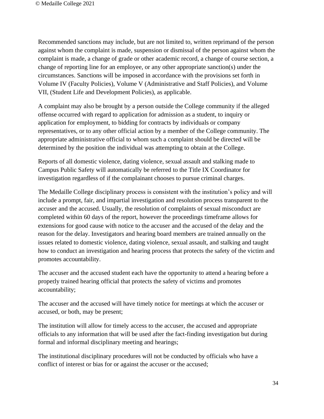Recommended sanctions may include, but are not limited to, written reprimand of the person against whom the complaint is made, suspension or dismissal of the person against whom the complaint is made, a change of grade or other academic record, a change of course section, a change of reporting line for an employee, or any other appropriate sanction(s) under the circumstances. Sanctions will be imposed in accordance with the provisions set forth in Volume IV (Faculty Policies), Volume V (Administrative and Staff Policies), and Volume VII, (Student Life and Development Policies), as applicable.

A complaint may also be brought by a person outside the College community if the alleged offense occurred with regard to application for admission as a student, to inquiry or application for employment, to bidding for contracts by individuals or company representatives, or to any other official action by a member of the College community. The appropriate administrative official to whom such a complaint should be directed will be determined by the position the individual was attempting to obtain at the College.

Reports of all domestic violence, dating violence, sexual assault and stalking made to Campus Public Safety will automatically be referred to the Title IX Coordinator for investigation regardless of if the complainant chooses to pursue criminal charges.

The Medaille College disciplinary process is consistent with the institution's policy and will include a prompt, fair, and impartial investigation and resolution process transparent to the accuser and the accused. Usually, the resolution of complaints of sexual misconduct are completed within 60 days of the report, however the proceedings timeframe allows for extensions for good cause with notice to the accuser and the accused of the delay and the reason for the delay. Investigators and hearing board members are trained annually on the issues related to domestic violence, dating violence, sexual assault, and stalking and taught how to conduct an investigation and hearing process that protects the safety of the victim and promotes accountability.

The accuser and the accused student each have the opportunity to attend a hearing before a properly trained hearing official that protects the safety of victims and promotes accountability;

The accuser and the accused will have timely notice for meetings at which the accuser or accused, or both, may be present;

The institution will allow for timely access to the accuser, the accused and appropriate officials to any information that will be used after the fact-finding investigation but during formal and informal disciplinary meeting and hearings;

The institutional disciplinary procedures will not be conducted by officials who have a conflict of interest or bias for or against the accuser or the accused;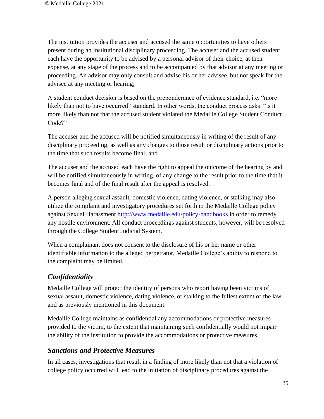The institution provides the accuser and accused the same opportunities to have others present during an institutional disciplinary proceeding. The accuser and the accused student each have the opportunity to be advised by a personal advisor of their choice, at their expense, at any stage of the process and to be accompanied by that advisor at any meeting or proceeding. An advisor may only consult and advise his or her advisee, but not speak for the advisee at any meeting or hearing;

A student conduct decision is based on the preponderance of evidence standard, i.e. "more likely than not to have occurred" standard. In other words, the conduct process asks: "is it more likely than not that the accused student violated the Medaille College Student Conduct Code?"

The accuser and the accused will be notified simultaneously in writing of the result of any disciplinary proceeding, as well as any changes to those result or disciplinary actions prior to the time that such results become final; and

The accuser and the accused each have the right to appeal the outcome of the hearing by and will be notified simultaneously in writing, of any change to the result prior to the time that it becomes final and of the final result after the appeal is resolved.

A person alleging sexual assault, domestic violence, dating violence, or stalking may also utilize the complaint and investigatory procedures set forth in the Medaille College policy against Sexual Harassment [http://www.medaille.edu/policy-handbooks i](http://www.medaille.edu/policy-handbooks)n order to remedy any hostile environment. All conduct proceedings against students, however, will be resolved through the College Student Judicial System.

When a complainant does not consent to the disclosure of his or her name or other identifiable information to the alleged perpetrator, Medaille College's ability to respond to the complaint may be limited.

# <span id="page-34-0"></span>*Confidentiality*

Medaille College will protect the identity of persons who report having been victims of sexual assault, domestic violence, dating violence, or stalking to the fullest extent of the law and as previously mentioned in this document.

Medaille College maintains as confidential any accommodations or protective measures provided to the victim, to the extent that maintaining such confidentially would not impair the ability of the institution to provide the accommodations or protective measures.

## <span id="page-34-1"></span>*Sanctions and Protective Measures*

In all cases, investigations that result in a finding of more likely than not that a violation of college policy occurred will lead to the initiation of disciplinary procedures against the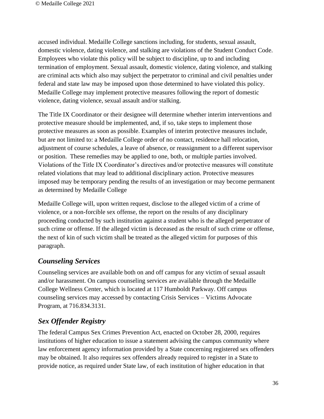accused individual. Medaille College sanctions including, for students, sexual assault, domestic violence, dating violence, and stalking are violations of the Student Conduct Code. Employees who violate this policy will be subject to discipline, up to and including termination of employment. Sexual assault, domestic violence, dating violence, and stalking are criminal acts which also may subject the perpetrator to criminal and civil penalties under federal and state law may be imposed upon those determined to have violated this policy. Medaille College may implement protective measures following the report of domestic violence, dating violence, sexual assault and/or stalking.

The Title IX Coordinator or their designee will determine whether interim interventions and protective measure should be implemented, and, if so, take steps to implement those protective measures as soon as possible. Examples of interim protective measures include, but are not limited to: a Medaille College order of no contact, residence hall relocation, adjustment of course schedules, a leave of absence, or reassignment to a different supervisor or position. These remedies may be applied to one, both, or multiple parties involved. Violations of the Title IX Coordinator's directives and/or protective measures will constitute related violations that may lead to additional disciplinary action. Protective measures imposed may be temporary pending the results of an investigation or may become permanent as determined by Medaille College

Medaille College will, upon written request, disclose to the alleged victim of a crime of violence, or a non-forcible sex offense, the report on the results of any disciplinary proceeding conducted by such institution against a student who is the alleged perpetrator of such crime or offense. If the alleged victim is deceased as the result of such crime or offense, the next of kin of such victim shall be treated as the alleged victim for purposes of this paragraph.

# <span id="page-35-0"></span>*Counseling Services*

Counseling services are available both on and off campus for any victim of sexual assault and/or harassment. On campus counseling services are available through the Medaille College Wellness Center, which is located at 117 Humboldt Parkway. Off campus counseling services may accessed by contacting Crisis Services – Victims Advocate Program, at 716.834.3131.

## <span id="page-35-1"></span>*Sex Offender Registry*

The federal Campus Sex Crimes Prevention Act, enacted on October 28, 2000, requires institutions of higher education to issue a statement advising the campus community where law enforcement agency information provided by a State concerning registered sex offenders may be obtained. It also requires sex offenders already required to register in a State to provide notice, as required under State law, of each institution of higher education in that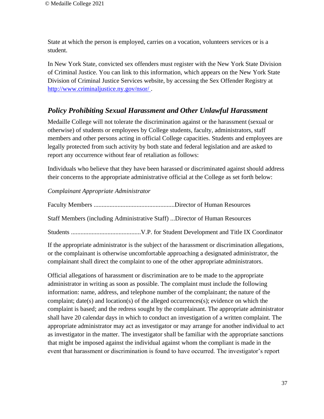State at which the person is employed, carries on a vocation, volunteers services or is a student.

In New York State, convicted sex offenders must register with the New York State Division of Criminal Justice. You can link to this information, which appears on the New York State Division of Criminal Justice Services website, by accessing the Sex Offender Registry at [http://www.criminaljustice.ny.gov/nsor/ .](http://www.criminaljustice.ny.gov/nsor/)

# *Policy Prohibiting Sexual Harassment and Other Unlawful Harassment*

Medaille College will not tolerate the discrimination against or the harassment (sexual or otherwise) of students or employees by College students, faculty, administrators, staff members and other persons acting in official College capacities. Students and employees are legally protected from such activity by both state and federal legislation and are asked to report any occurrence without fear of retaliation as follows:

Individuals who believe that they have been harassed or discriminated against should address their concerns to the appropriate administrative official at the College as set forth below:

*Complainant Appropriate Administrator*

| Staff Members (including Administrative Staff) Director of Human Resources |  |
|----------------------------------------------------------------------------|--|
|                                                                            |  |

If the appropriate administrator is the subject of the harassment or discrimination allegations, or the complainant is otherwise uncomfortable approaching a designated administrator, the complainant shall direct the complaint to one of the other appropriate administrators.

Official allegations of harassment or discrimination are to be made to the appropriate administrator in writing as soon as possible. The complaint must include the following information: name, address, and telephone number of the complainant; the nature of the complaint; date(s) and location(s) of the alleged occurrences(s); evidence on which the complaint is based; and the redress sought by the complainant. The appropriate administrator shall have 20 calendar days in which to conduct an investigation of a written complaint. The appropriate administrator may act as investigator or may arrange for another individual to act as investigator in the matter. The investigator shall be familiar with the appropriate sanctions that might be imposed against the individual against whom the compliant is made in the event that harassment or discrimination is found to have occurred. The investigator's report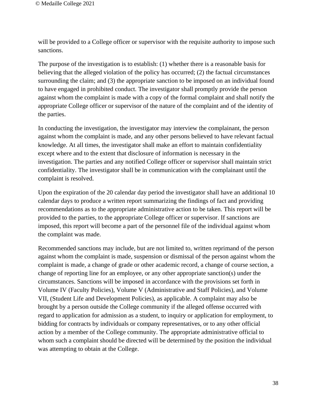will be provided to a College officer or supervisor with the requisite authority to impose such sanctions.

The purpose of the investigation is to establish: (1) whether there is a reasonable basis for believing that the alleged violation of the policy has occurred; (2) the factual circumstances surrounding the claim; and (3) the appropriate sanction to be imposed on an individual found to have engaged in prohibited conduct. The investigator shall promptly provide the person against whom the complaint is made with a copy of the formal complaint and shall notify the appropriate College officer or supervisor of the nature of the complaint and of the identity of the parties.

In conducting the investigation, the investigator may interview the complainant, the person against whom the complaint is made, and any other persons believed to have relevant factual knowledge. At all times, the investigator shall make an effort to maintain confidentiality except where and to the extent that disclosure of information is necessary in the investigation. The parties and any notified College officer or supervisor shall maintain strict confidentiality. The investigator shall be in communication with the complainant until the complaint is resolved.

Upon the expiration of the 20 calendar day period the investigator shall have an additional 10 calendar days to produce a written report summarizing the findings of fact and providing recommendations as to the appropriate administrative action to be taken. This report will be provided to the parties, to the appropriate College officer or supervisor. If sanctions are imposed, this report will become a part of the personnel file of the individual against whom the complaint was made.

Recommended sanctions may include, but are not limited to, written reprimand of the person against whom the complaint is made, suspension or dismissal of the person against whom the complaint is made, a change of grade or other academic record, a change of course section, a change of reporting line for an employee, or any other appropriate sanction(s) under the circumstances. Sanctions will be imposed in accordance with the provisions set forth in Volume IV (Faculty Policies), Volume V (Administrative and Staff Policies), and Volume VII, (Student Life and Development Policies), as applicable. A complaint may also be brought by a person outside the College community if the alleged offense occurred with regard to application for admission as a student, to inquiry or application for employment, to bidding for contracts by individuals or company representatives, or to any other official action by a member of the College community. The appropriate administrative official to whom such a complaint should be directed will be determined by the position the individual was attempting to obtain at the College.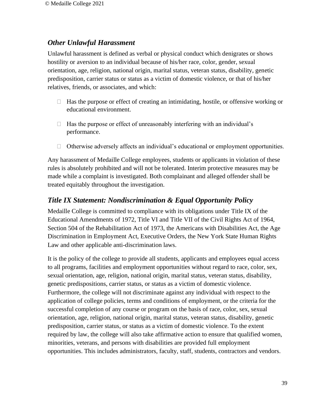#### *Other Unlawful Harassment*

Unlawful harassment is defined as verbal or physical conduct which denigrates or shows hostility or aversion to an individual because of his/her race, color, gender, sexual orientation, age, religion, national origin, marital status, veteran status, disability, genetic predisposition, carrier status or status as a victim of domestic violence, or that of his/her relatives, friends, or associates, and which:

- $\Box$  Has the purpose or effect of creating an intimidating, hostile, or offensive working or educational environment.
- $\Box$  Has the purpose or effect of unreasonably interfering with an individual's performance.
- $\Box$  Otherwise adversely affects an individual's educational or employment opportunities.

Any harassment of Medaille College employees, students or applicants in violation of these rules is absolutely prohibited and will not be tolerated. Interim protective measures may be made while a complaint is investigated. Both complainant and alleged offender shall be treated equitably throughout the investigation.

#### *Title IX Statement: Nondiscrimination & Equal Opportunity Policy*

Medaille College is committed to compliance with its obligations under Title IX of the Educational Amendments of 1972, Title VI and Title VII of the Civil Rights Act of 1964, Section 504 of the Rehabilitation Act of 1973, the Americans with Disabilities Act, the Age Discrimination in Employment Act, Executive Orders, the New York State Human Rights Law and other applicable anti-discrimination laws.

It is the policy of the college to provide all students, applicants and employees equal access to all programs, facilities and employment opportunities without regard to race, color, sex, sexual orientation, age, religion, national origin, marital status, veteran status, disability, genetic predispositions, carrier status, or status as a victim of domestic violence. Furthermore, the college will not discriminate against any individual with respect to the application of college policies, terms and conditions of employment, or the criteria for the successful completion of any course or program on the basis of race, color, sex, sexual orientation, age, religion, national origin, marital status, veteran status, disability, genetic predisposition, carrier status, or status as a victim of domestic violence. To the extent required by law, the college will also take affirmative action to ensure that qualified women, minorities, veterans, and persons with disabilities are provided full employment opportunities. This includes administrators, faculty, staff, students, contractors and vendors.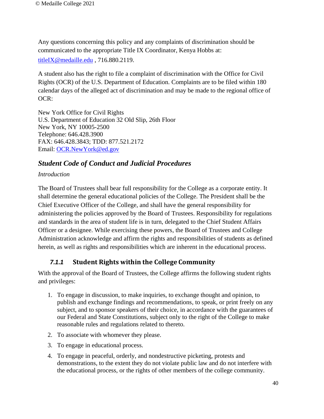Any questions concerning this policy and any complaints of discrimination should be communicated to the appropriate Title IX Coordinator, Kenya Hobbs at: [titleIX@medaille.edu](mailto:titleIX@medaille.edu) , 716.880.2119.

A student also has the right to file a complaint of discrimination with the Office for Civil Rights (OCR) of the U.S. Department of Education. Complaints are to be filed within 180 calendar days of the alleged act of discrimination and may be made to the regional office of OCR:

New York Office for Civil Rights U.S. Department of Education 32 Old Slip, 26th Floor New York, NY 10005-2500 Telephone: 646.428.3900 FAX: 646.428.3843; TDD: 877.521.2172 Email: [OCR.NewYork@ed.gov](mailto:OCR.NewYork@ed.gov)

## *Student Code of Conduct and Judicial Procedures*

#### *Introduction*

The Board of Trustees shall bear full responsibility for the College as a corporate entity. It shall determine the general educational policies of the College. The President shall be the Chief Executive Officer of the College, and shall have the general responsibility for administering the policies approved by the Board of Trustees. Responsibility for regulations and standards in the area of student life is in turn, delegated to the Chief Student Affairs Officer or a designee. While exercising these powers, the Board of Trustees and College Administration acknowledge and affirm the rights and responsibilities of students as defined herein, as well as rights and responsibilities which are inherent in the educational process.

## *7.1.1* **Student Rights within the College Community**

With the approval of the Board of Trustees, the College affirms the following student rights and privileges:

- 1. To engage in discussion, to make inquiries, to exchange thought and opinion, to publish and exchange findings and recommendations, to speak, or print freely on any subject, and to sponsor speakers of their choice, in accordance with the guarantees of our Federal and State Constitutions, subject only to the right of the College to make reasonable rules and regulations related to thereto.
- 2. To associate with whomever they please.
- 3. To engage in educational process.
- 4. To engage in peaceful, orderly, and nondestructive picketing, protests and demonstrations, to the extent they do not violate public law and do not interfere with the educational process, or the rights of other members of the college community.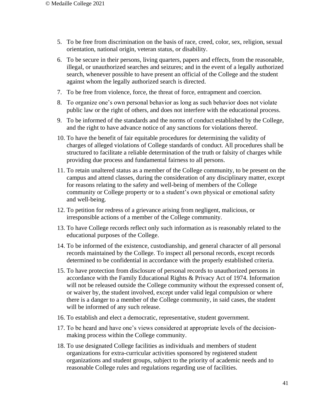- 5. To be free from discrimination on the basis of race, creed, color, sex, religion, sexual orientation, national origin, veteran status, or disability.
- 6. To be secure in their persons, living quarters, papers and effects, from the reasonable, illegal, or unauthorized searches and seizures; and in the event of a legally authorized search, whenever possible to have present an official of the College and the student against whom the legally authorized search is directed.
- 7. To be free from violence, force, the threat of force, entrapment and coercion.
- 8. To organize one's own personal behavior as long as such behavior does not violate public law or the right of others, and does not interfere with the educational process.
- 9. To be informed of the standards and the norms of conduct established by the College, and the right to have advance notice of any sanctions for violations thereof.
- 10. To have the benefit of fair equitable procedures for determining the validity of charges of alleged violations of College standards of conduct. All procedures shall be structured to facilitate a reliable determination of the truth or falsity of charges while providing due process and fundamental fairness to all persons.
- 11. To retain unaltered status as a member of the College community, to be present on the campus and attend classes, during the consideration of any disciplinary matter, except for reasons relating to the safety and well-being of members of the College community or College property or to a student's own physical or emotional safety and well-being.
- 12. To petition for redress of a grievance arising from negligent, malicious, or irresponsible actions of a member of the College community.
- 13. To have College records reflect only such information as is reasonably related to the educational purposes of the College.
- 14. To be informed of the existence, custodianship, and general character of all personal records maintained by the College. To inspect all personal records, except records determined to be confidential in accordance with the properly established criteria.
- 15. To have protection from disclosure of personal records to unauthorized persons in accordance with the Family Educational Rights & Privacy Act of 1974. Information will not be released outside the College community without the expressed consent of, or waiver by, the student involved, except under valid legal compulsion or where there is a danger to a member of the College community, in said cases, the student will be informed of any such release.
- 16. To establish and elect a democratic, representative, student government.
- 17. To be heard and have one's views considered at appropriate levels of the decisionmaking process within the College community.
- 18. To use designated College facilities as individuals and members of student organizations for extra-curricular activities sponsored by registered student organizations and student groups, subject to the priority of academic needs and to reasonable College rules and regulations regarding use of facilities.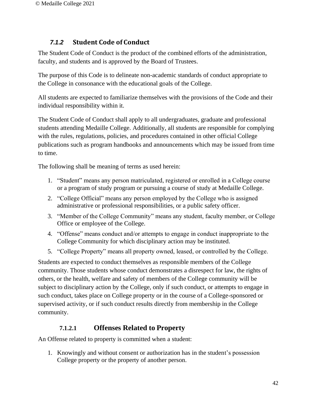## *7.1.2* **Student Code of Conduct**

The Student Code of Conduct is the product of the combined efforts of the administration, faculty, and students and is approved by the Board of Trustees.

The purpose of this Code is to delineate non-academic standards of conduct appropriate to the College in consonance with the educational goals of the College.

All students are expected to familiarize themselves with the provisions of the Code and their individual responsibility within it.

The Student Code of Conduct shall apply to all undergraduates, graduate and professional students attending Medaille College. Additionally, all students are responsible for complying with the rules, regulations, policies, and procedures contained in other official College publications such as program handbooks and announcements which may be issued from time to time.

The following shall be meaning of terms as used herein:

- 1. "Student" means any person matriculated, registered or enrolled in a College course or a program of study program or pursuing a course of study at Medaille College.
- 2. "College Official" means any person employed by the College who is assigned administrative or professional responsibilities, or a public safety officer.
- 3. "Member of the College Community" means any student, faculty member, or College Office or employee of the College.
- 4. "Offense" means conduct and/or attempts to engage in conduct inappropriate to the College Community for which disciplinary action may be instituted.
- 5. "College Property" means all property owned, leased, or controlled by the College.

Students are expected to conduct themselves as responsible members of the College community. Those students whose conduct demonstrates a disrespect for law, the rights of others, or the health, welfare and safety of members of the College community will be subject to disciplinary action by the College, only if such conduct, or attempts to engage in such conduct, takes place on College property or in the course of a College-sponsored or supervised activity, or if such conduct results directly from membership in the College community.

## **7.1.2.1 Offenses Related to Property**

An Offense related to property is committed when a student:

1. Knowingly and without consent or authorization has in the student's possession College property or the property of another person.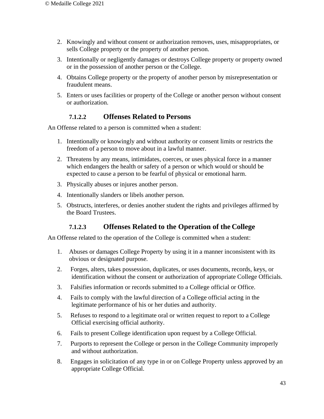- 2. Knowingly and without consent or authorization removes, uses, misappropriates, or sells College property or the property of another person.
- 3. Intentionally or negligently damages or destroys College property or property owned or in the possession of another person or the College.
- 4. Obtains College property or the property of another person by misrepresentation or fraudulent means.
- 5. Enters or uses facilities or property of the College or another person without consent or authorization.

## **7.1.2.2 Offenses Related to Persons**

An Offense related to a person is committed when a student:

- 1. Intentionally or knowingly and without authority or consent limits or restricts the freedom of a person to move about in a lawful manner.
- 2. Threatens by any means, intimidates, coerces, or uses physical force in a manner which endangers the health or safety of a person or which would or should be expected to cause a person to be fearful of physical or emotional harm.
- 3. Physically abuses or injures another person.
- 4. Intentionally slanders or libels another person.
- 5. Obstructs, interferes, or denies another student the rights and privileges affirmed by the Board Trustees.

## **7.1.2.3 Offenses Related to the Operation of the College**

An Offense related to the operation of the College is committed when a student:

- 1. Abuses or damages College Property by using it in a manner inconsistent with its obvious or designated purpose.
- 2. Forges, alters, takes possession, duplicates, or uses documents, records, keys, or identification without the consent or authorization of appropriate College Officials.
- 3. Falsifies information or records submitted to a College official or Office.
- 4. Fails to comply with the lawful direction of a College official acting in the legitimate performance of his or her duties and authority.
- 5. Refuses to respond to a legitimate oral or written request to report to a College Official exercising official authority.
- 6. Fails to present College identification upon request by a College Official.
- 7. Purports to represent the College or person in the College Community improperly and without authorization.
- 8. Engages in solicitation of any type in or on College Property unless approved by an appropriate College Official.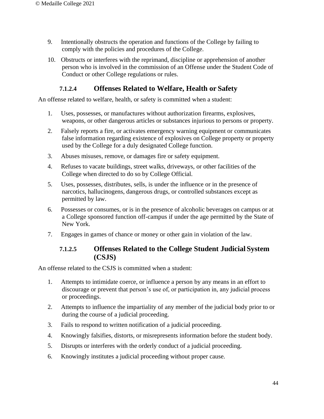- 9. Intentionally obstructs the operation and functions of the College by failing to comply with the policies and procedures of the College.
- 10. Obstructs or interferes with the reprimand, discipline or apprehension of another person who is involved in the commission of an Offense under the Student Code of Conduct or other College regulations or rules.

# **7.1.2.4 Offenses Related to Welfare, Health or Safety**

An offense related to welfare, health, or safety is committed when a student:

- 1. Uses, possesses, or manufactures without authorization firearms, explosives, weapons, or other dangerous articles or substances injurious to persons or property.
- 2. Falsely reports a fire, or activates emergency warning equipment or communicates false information regarding existence of explosives on College property or property used by the College for a duly designated College function.
- 3. Abuses misuses, remove, or damages fire or safety equipment.
- 4. Refuses to vacate buildings, street walks, driveways, or other facilities of the College when directed to do so by College Official.
- 5. Uses, possesses, distributes, sells, is under the influence or in the presence of narcotics, hallucinogens, dangerous drugs, or controlled substances except as permitted by law.
- 6. Possesses or consumes, or is in the presence of alcoholic beverages on campus or at a College sponsored function off-campus if under the age permitted by the State of New York.
- 7. Engages in games of chance or money or other gain in violation of the law.

## **7.1.2.5 Offenses Related to the College Student Judicial System (CSJS)**

An offense related to the CSJS is committed when a student:

- 1. Attempts to intimidate coerce, or influence a person by any means in an effort to discourage or prevent that person's use of, or participation in, any judicial process or proceedings.
- 2. Attempts to influence the impartiality of any member of the judicial body prior to or during the course of a judicial proceeding.
- 3. Fails to respond to written notification of a judicial proceeding.
- 4. Knowingly falsifies, distorts, or misrepresents information before the student body.
- 5. Disrupts or interferes with the orderly conduct of a judicial proceeding.
- 6. Knowingly institutes a judicial proceeding without proper cause.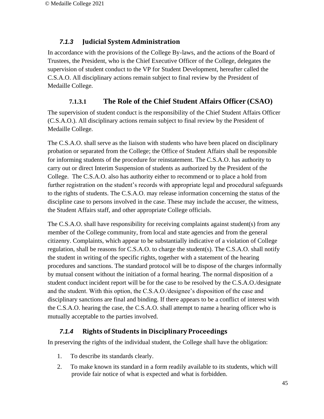## *7.1.3* **Judicial System Administration**

In accordance with the provisions of the College By-laws, and the actions of the Board of Trustees, the President, who is the Chief Executive Officer of the College, delegates the supervision of student conduct to the VP for Student Development, hereafter called the C.S.A.O. All disciplinary actions remain subject to final review by the President of Medaille College.

# **7.1.3.1 The Role of the Chief Student Affairs Officer (CSAO)**

The supervision of student conduct is the responsibility of the Chief Student Affairs Officer (C.S.A.O.). All disciplinary actions remain subject to final review by the President of Medaille College.

The C.S.A.O. shall serve as the liaison with students who have been placed on disciplinary probation or separated from the College; the Office of Student Affairs shall be responsible for informing students of the procedure for reinstatement. The C.S.A.O. has authority to carry out or direct Interim Suspension of students as authorized by the President of the College. The C.S.A.O. also has authority either to recommend or to place a hold from further registration on the student's records with appropriate legal and procedural safeguards to the rights of students. The C.S.A.O. may release information concerning the status of the discipline case to persons involved in the case. These may include the accuser, the witness, the Student Affairs staff, and other appropriate College officials.

The C.S.A.O. shall have responsibility for receiving complaints against student(s) from any member of the College community, from local and state agencies and from the general citizenry. Complaints, which appear to be substantially indicative of a violation of College regulation, shall be reasons for C.S.A.O. to charge the student(s). The C.S.A.O. shall notify the student in writing of the specific rights, together with a statement of the hearing procedures and sanctions. The standard protocol will be to dispose of the charges informally by mutual consent without the initiation of a formal hearing. The normal disposition of a student conduct incident report will be for the case to be resolved by the C.S.A.O./designate and the student. With this option, the C.S.A.O./designee's disposition of the case and disciplinary sanctions are final and binding. If there appears to be a conflict of interest with the C.S.A.O. hearing the case, the C.S.A.O. shall attempt to name a hearing officer who is mutually acceptable to the parties involved.

# *7.1.4* **Rights of Students in Disciplinary Proceedings**

In preserving the rights of the individual student, the College shall have the obligation:

- 1. To describe its standards clearly.
- 2. To make known its standard in a form readily available to its students, which will provide fair notice of what is expected and what is forbidden.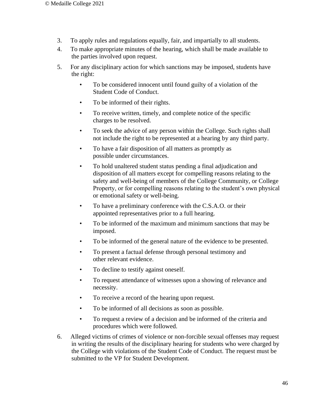- 3. To apply rules and regulations equally, fair, and impartially to all students.
- 4. To make appropriate minutes of the hearing, which shall be made available to the parties involved upon request.
- 5. For any disciplinary action for which sanctions may be imposed, students have the right:
	- To be considered innocent until found guilty of a violation of the Student Code of Conduct.
	- To be informed of their rights.
	- To receive written, timely, and complete notice of the specific charges to be resolved.
	- To seek the advice of any person within the College. Such rights shall not include the right to be represented at a hearing by any third party.
	- To have a fair disposition of all matters as promptly as possible under circumstances.
	- To hold unaltered student status pending a final adjudication and disposition of all matters except for compelling reasons relating to the safety and well-being of members of the College Community, or College Property, or for compelling reasons relating to the student's own physical or emotional safety or well-being.
	- To have a preliminary conference with the C.S.A.O. or their appointed representatives prior to a full hearing.
	- To be informed of the maximum and minimum sanctions that may be imposed.
	- To be informed of the general nature of the evidence to be presented.
	- To present a factual defense through personal testimony and other relevant evidence.
	- To decline to testify against oneself.
	- To request attendance of witnesses upon a showing of relevance and necessity.
	- To receive a record of the hearing upon request.
	- To be informed of all decisions as soon as possible.
	- To request a review of a decision and be informed of the criteria and procedures which were followed.
- 6. Alleged victims of crimes of violence or non-forcible sexual offenses may request in writing the results of the disciplinary hearing for students who were charged by the College with violations of the Student Code of Conduct. The request must be submitted to the VP for Student Development.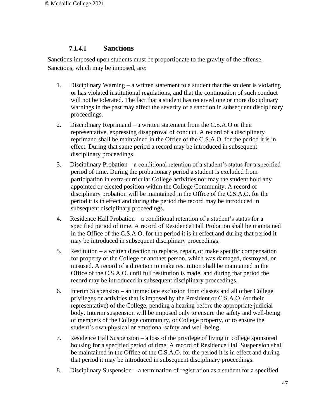#### **7.1.4.1 Sanctions**

Sanctions imposed upon students must be proportionate to the gravity of the offense. Sanctions, which may be imposed, are:

- 1. Disciplinary Warning a written statement to a student that the student is violating or has violated institutional regulations, and that the continuation of such conduct will not be tolerated. The fact that a student has received one or more disciplinary warnings in the past may affect the severity of a sanction in subsequent disciplinary proceedings.
- 2. Disciplinary Reprimand a written statement from the C.S.A.O or their representative, expressing disapproval of conduct. A record of a disciplinary reprimand shall be maintained in the Office of the C.S.A.O. for the period it is in effect. During that same period a record may be introduced in subsequent disciplinary proceedings.
- 3. Disciplinary Probation a conditional retention of a student's status for a specified period of time. During the probationary period a student is excluded from participation in extra-curricular College activities nor may the student hold any appointed or elected position within the College Community. A record of disciplinary probation will be maintained in the Office of the C.S.A.O. for the period it is in effect and during the period the record may be introduced in subsequent disciplinary proceedings.
- 4. Residence Hall Probation a conditional retention of a student's status for a specified period of time. A record of Residence Hall Probation shall be maintained in the Office of the C.S.A.O. for the period it is in effect and during that period it may be introduced in subsequent disciplinary proceedings.
- 5. Restitution a written direction to replace, repair, or make specific compensation for property of the College or another person, which was damaged, destroyed, or misused. A record of a direction to make restitution shall be maintained in the Office of the C.S.A.O. until full restitution is made, and during that period the record may be introduced in subsequent disciplinary proceedings.
- 6. Interim Suspension an immediate exclusion from classes and all other College privileges or activities that is imposed by the President or C.S.A.O. (or their representative) of the College, pending a hearing before the appropriate judicial body. Interim suspension will be imposed only to ensure the safety and well-being of members of the College community, or College property, or to ensure the student's own physical or emotional safety and well-being.
- 7. Residence Hall Suspension a loss of the privilege of living in college sponsored housing for a specified period of time. A record of Residence Hall Suspension shall be maintained in the Office of the C.S.A.O. for the period it is in effect and during that period it may be introduced in subsequent disciplinary proceedings.
- 8. Disciplinary Suspension a termination of registration as a student for a specified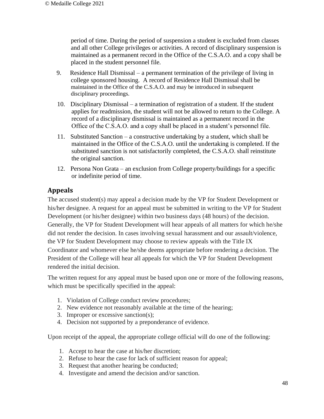period of time. During the period of suspension a student is excluded from classes and all other College privileges or activities. A record of disciplinary suspension is maintained as a permanent record in the Office of the C.S.A.O. and a copy shall be placed in the student personnel file.

- 9. Residence Hall Dismissal a permanent termination of the privilege of living in college sponsored housing. A record of Residence Hall Dismissal shall be maintained in the Office of the C.S.A.O. and may be introduced in subsequent disciplinary proceedings.
- 10. Disciplinary Dismissal a termination of registration of a student. If the student applies for readmission, the student will not be allowed to return to the College. A record of a disciplinary dismissal is maintained as a permanent record in the Office of the C.S.A.O. and a copy shall be placed in a student's personnel file.
- 11. Substituted Sanction a constructive undertaking by a student, which shall be maintained in the Office of the C.S.A.O. until the undertaking is completed. If the substituted sanction is not satisfactorily completed, the C.S.A.O. shall reinstitute the original sanction.
- 12. Persona Non Grata an exclusion from College property/buildings for a specific or indefinite period of time.

#### **Appeals**

The accused student(s) may appeal a decision made by the VP for Student Development or his/her designee. A request for an appeal must be submitted in writing to the VP for Student Development (or his/her designee) within two business days (48 hours) of the decision. Generally, the VP for Student Development will hear appeals of all matters for which he/she did not render the decision. In cases involving sexual harassment and our assault/violence, the VP for Student Development may choose to review appeals with the Title IX Coordinator and whomever else he/she deems appropriate before rendering a decision. The President of the College will hear all appeals for which the VP for Student Development rendered the initial decision.

The written request for any appeal must be based upon one or more of the following reasons, which must be specifically specified in the appeal:

- 1. Violation of College conduct review procedures;
- 2. New evidence not reasonably available at the time of the hearing;
- 3. Improper or excessive sanction(s);
- 4. Decision not supported by a preponderance of evidence.

Upon receipt of the appeal, the appropriate college official will do one of the following:

- 1. Accept to hear the case at his/her discretion;
- 2. Refuse to hear the case for lack of sufficient reason for appeal;
- 3. Request that another hearing be conducted;
- 4. Investigate and amend the decision and/or sanction.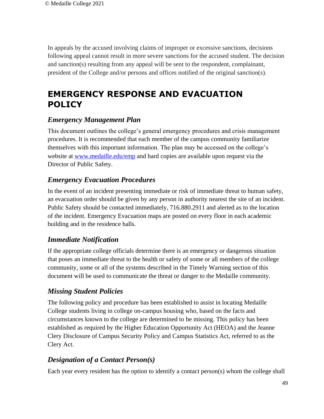In appeals by the accused involving claims of improper or excessive sanctions, decisions following appeal cannot result in more severe sanctions for the accused student. The decision and sanction(s) resulting from any appeal will be sent to the respondent, complainant, president of the College and/or persons and offices notified of the original sanction(s).

# **EMERGENCY RESPONSE AND EVACUATION POLICY**

# *Emergency Management Plan*

This document outlines the college's general emergency procedures and crisis management procedures. It is recommended that each member of the campus community familiarize themselves with this important information. The plan may be accessed on the college's website at [www.medaille.edu/emp](http://www.medaille.edu/emp) and hard copies are available upon request via the Director of Public Safety.

# *Emergency Evacuation Procedures*

In the event of an incident presenting immediate or risk of immediate threat to human safety, an evacuation order should be given by any person in authority nearest the site of an incident. Public Safety should be contacted immediately, 716.880.2911 and alerted as to the location of the incident. Emergency Evacuation maps are posted on every floor in each academic building and in the residence halls.

# *Immediate Notification*

If the appropriate college officials determine there is an emergency or dangerous situation that poses an immediate threat to the health or safety of some or all members of the college community, some or all of the systems described in the Timely Warning section of this document will be used to communicate the threat or danger to the Medaille community.

# *Missing Student Policies*

The following policy and procedure has been established to assist in locating Medaille College students living in college on-campus housing who, based on the facts and circumstances known to the college are determined to be missing. This policy has been established as required by the Higher Education Opportunity Act (HEOA) and the Jeanne Clery Disclosure of Campus Security Policy and Campus Statistics Act, referred to as the Clery Act.

# *Designation of a Contact Person(s)*

Each year every resident has the option to identify a contact person(s) whom the college shall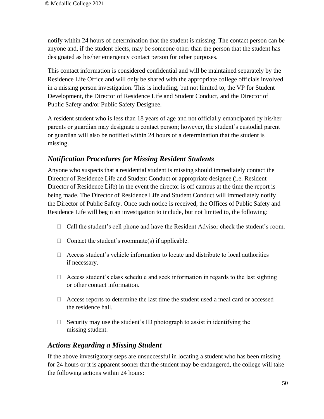notify within 24 hours of determination that the student is missing. The contact person can be anyone and, if the student elects, may be someone other than the person that the student has designated as his/her emergency contact person for other purposes.

This contact information is considered confidential and will be maintained separately by the Residence Life Office and will only be shared with the appropriate college officials involved in a missing person investigation. This is including, but not limited to, the VP for Student Development, the Director of Residence Life and Student Conduct, and the Director of Public Safety and/or Public Safety Designee.

A resident student who is less than 18 years of age and not officially emancipated by his/her parents or guardian may designate a contact person; however, the student's custodial parent or guardian will also be notified within 24 hours of a determination that the student is missing.

## *Notification Procedures for Missing Resident Students*

Anyone who suspects that a residential student is missing should immediately contact the Director of Residence Life and Student Conduct or appropriate designee (i.e. Resident Director of Residence Life) in the event the director is off campus at the time the report is being made. The Director of Residence Life and Student Conduct will immediately notify the Director of Public Safety. Once such notice is received, the Offices of Public Safety and Residence Life will begin an investigation to include, but not limited to, the following:

- $\Box$  Call the student's cell phone and have the Resident Advisor check the student's room.
- $\Box$  Contact the student's roommate(s) if applicable.
- $\Box$  Access student's vehicle information to locate and distribute to local authorities if necessary.
- $\Box$  Access student's class schedule and seek information in regards to the last sighting or other contact information.
- $\Box$  Access reports to determine the last time the student used a meal card or accessed the residence hall.
- $\Box$  Security may use the student's ID photograph to assist in identifying the missing student.

## *Actions Regarding a Missing Student*

If the above investigatory steps are unsuccessful in locating a student who has been missing for 24 hours or it is apparent sooner that the student may be endangered, the college will take the following actions within 24 hours: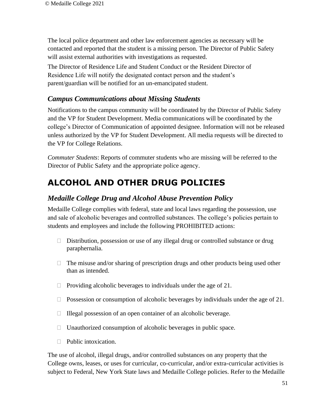The local police department and other law enforcement agencies as necessary will be contacted and reported that the student is a missing person. The Director of Public Safety will assist external authorities with investigations as requested.

The Director of Residence Life and Student Conduct or the Resident Director of Residence Life will notify the designated contact person and the student's parent/guardian will be notified for an un-emancipated student.

## *Campus Communications about Missing Students*

Notifications to the campus community will be coordinated by the Director of Public Safety and the VP for Student Development. Media communications will be coordinated by the college's Director of Communication of appointed designee. Information will not be released unless authorized by the VP for Student Development. All media requests will be directed to the VP for College Relations.

*Commuter Students*: Reports of commuter students who are missing will be referred to the Director of Public Safety and the appropriate police agency.

# **ALCOHOL AND OTHER DRUG POLICIES**

## *Medaille College Drug and Alcohol Abuse Prevention Policy*

Medaille College complies with federal, state and local laws regarding the possession, use and sale of alcoholic beverages and controlled substances. The college's policies pertain to students and employees and include the following PROHIBITED actions:

- $\Box$  Distribution, possession or use of any illegal drug or controlled substance or drug paraphernalia.
- $\Box$  The misuse and/or sharing of prescription drugs and other products being used other than as intended.
- $\Box$  Providing alcoholic beverages to individuals under the age of 21.
- $\Box$  Possession or consumption of alcoholic beverages by individuals under the age of 21.
- $\Box$  Illegal possession of an open container of an alcoholic beverage.
- $\Box$  Unauthorized consumption of alcoholic beverages in public space.
- □ Public intoxication.

The use of alcohol, illegal drugs, and/or controlled substances on any property that the College owns, leases, or uses for curricular, co-curricular, and/or extra-curricular activities is subject to Federal, New York State laws and Medaille College policies. Refer to the Medaille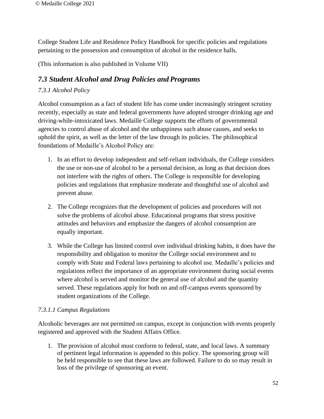College Student Life and Residence Policy Handbook for specific policies and regulations pertaining to the possession and consumption of alcohol in the residence halls.

(This information is also published in Volume VII)

## *7.3 Student Alcohol and Drug Policies and Programs*

#### *7.3.1 Alcohol Policy*

Alcohol consumption as a fact of student life has come under increasingly stringent scrutiny recently, especially as state and federal governments have adopted stronger drinking age and driving-while-intoxicated laws. Medaille College supports the efforts of governmental agencies to control abuse of alcohol and the unhappiness such abuse causes, and seeks to uphold the spirit, as well as the letter of the law through its policies. The philosophical foundations of Medaille's Alcohol Policy are:

- 1. In an effort to develop independent and self-reliant individuals, the College considers the use or non-use of alcohol to be a personal decision, as long as that decision does not interfere with the rights of others. The College is responsible for developing policies and regulations that emphasize moderate and thoughtful use of alcohol and prevent abuse.
- 2. The College recognizes that the development of policies and procedures will not solve the problems of alcohol abuse. Educational programs that stress positive attitudes and behaviors and emphasize the dangers of alcohol consumption are equally important.
- 3. While the College has limited control over individual drinking habits, it does have the responsibility and obligation to monitor the College social environment and to comply with State and Federal laws pertaining to alcohol use. Medaille's policies and regulations reflect the importance of an appropriate environment during social events where alcohol is served and monitor the general use of alcohol and the quantity served. These regulations apply for both on and off-campus events sponsored by student organizations of the College.

#### *7.3.1.1 Campus Regulations*

Alcoholic beverages are not permitted on campus, except in conjunction with events properly registered and approved with the Student Affairs Office.

1. The provision of alcohol must conform to federal, state, and local laws. A summary of pertinent legal information is appended to this policy. The sponsoring group will be held responsible to see that these laws are followed. Failure to do so may result in loss of the privilege of sponsoring an event.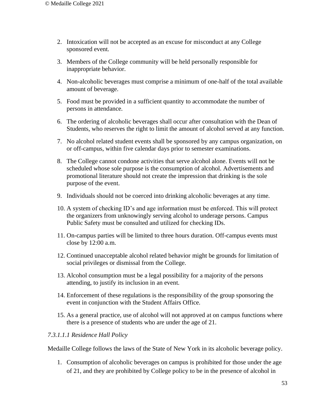- 2. Intoxication will not be accepted as an excuse for misconduct at any College sponsored event.
- 3. Members of the College community will be held personally responsible for inappropriate behavior.
- 4. Non-alcoholic beverages must comprise a minimum of one-half of the total available amount of beverage.
- 5. Food must be provided in a sufficient quantity to accommodate the number of persons in attendance.
- 6. The ordering of alcoholic beverages shall occur after consultation with the Dean of Students, who reserves the right to limit the amount of alcohol served at any function.
- 7. No alcohol related student events shall be sponsored by any campus organization, on or off-campus, within five calendar days prior to semester examinations.
- 8. The College cannot condone activities that serve alcohol alone. Events will not be scheduled whose sole purpose is the consumption of alcohol. Advertisements and promotional literature should not create the impression that drinking is the sole purpose of the event.
- 9. Individuals should not be coerced into drinking alcoholic beverages at any time.
- 10. A system of checking ID's and age information must be enforced. This will protect the organizers from unknowingly serving alcohol to underage persons. Campus Public Safety must be consulted and utilized for checking IDs.
- 11. On-campus parties will be limited to three hours duration. Off-campus events must close by 12:00 a.m.
- 12. Continued unacceptable alcohol related behavior might be grounds for limitation of social privileges or dismissal from the College.
- 13. Alcohol consumption must be a legal possibility for a majority of the persons attending, to justify its inclusion in an event.
- 14. Enforcement of these regulations is the responsibility of the group sponsoring the event in conjunction with the Student Affairs Office.
- 15. As a general practice, use of alcohol will not approved at on campus functions where there is a presence of students who are under the age of 21.

#### *7.3.1.1.1 Residence Hall Policy*

Medaille College follows the laws of the State of New York in its alcoholic beverage policy.

1. Consumption of alcoholic beverages on campus is prohibited for those under the age of 21, and they are prohibited by College policy to be in the presence of alcohol in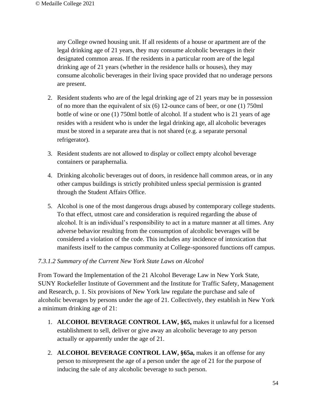any College owned housing unit. If all residents of a house or apartment are of the legal drinking age of 21 years, they may consume alcoholic beverages in their designated common areas. If the residents in a particular room are of the legal drinking age of 21 years (whether in the residence halls or houses), they may consume alcoholic beverages in their living space provided that no underage persons are present.

- 2. Resident students who are of the legal drinking age of 21 years may be in possession of no more than the equivalent of six  $(6)$  12-ounce cans of beer, or one (1) 750ml bottle of wine or one (1) 750ml bottle of alcohol. If a student who is 21 years of age resides with a resident who is under the legal drinking age, all alcoholic beverages must be stored in a separate area that is not shared (e.g. a separate personal refrigerator).
- 3. Resident students are not allowed to display or collect empty alcohol beverage containers or paraphernalia.
- 4. Drinking alcoholic beverages out of doors, in residence hall common areas, or in any other campus buildings is strictly prohibited unless special permission is granted through the Student Affairs Office.
- 5. Alcohol is one of the most dangerous drugs abused by contemporary college students. To that effect, utmost care and consideration is required regarding the abuse of alcohol. It is an individual's responsibility to act in a mature manner at all times. Any adverse behavior resulting from the consumption of alcoholic beverages will be considered a violation of the code. This includes any incidence of intoxication that manifests itself to the campus community at College-sponsored functions off campus.

#### *7.3.1.2 Summary of the Current New York State Laws on Alcohol*

From Toward the Implementation of the 21 Alcohol Beverage Law in New York State, SUNY Rockefeller Institute of Government and the Institute for Traffic Safety, Management and Research, p. 1. Six provisions of New York law regulate the purchase and sale of alcoholic beverages by persons under the age of 21. Collectively, they establish in New York a minimum drinking age of 21:

- 1. **ALCOHOL BEVERAGE CONTROL LAW, §65,** makes it unlawful for a licensed establishment to sell, deliver or give away an alcoholic beverage to any person actually or apparently under the age of 21.
- 2. **ALCOHOL BEVERAGE CONTROL LAW, §65a,** makes it an offense for any person to misrepresent the age of a person under the age of 21 for the purpose of inducing the sale of any alcoholic beverage to such person.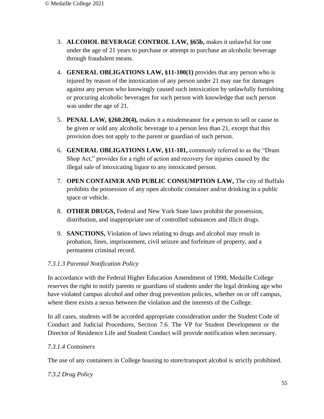- 3. **ALCOHOL BEVERAGE CONTROL LAW, §65b,** makes it unlawful for one under the age of 21 years to purchase or attempt to purchase an alcoholic beverage through fraudulent means.
- 4. **GENERAL OBLIGATIONS LAW, §11-100(1)** provides that any person who is injured by reason of the intoxication of any person under 21 may sue for damages against any person who knowingly caused such intoxication by unlawfully furnishing or procuring alcoholic beverages for such person with knowledge that such person was under the age of 21.
- 5. **PENAL LAW, §260.20(4),** makes it a misdemeanor for a person to sell or cause to be given or sold any alcoholic beverage to a person less than 21, except that this provision does not apply to the parent or guardian of such person.
- 6. **GENERAL OBLIGATIONS LAW, §11-101,** commonly referred to as the "Dram Shop Act," provides for a right of action and recovery for injuries caused by the illegal sale of intoxicating liquor to any intoxicated person.
- 7. **OPEN CONTAINER AND PUBLIC CONSUMPTION LAW,** The city of Buffalo prohibits the possession of any open alcoholic container and/or drinking in a public space or vehicle.
- 8. **OTHER DRUGS,** Federal and New York State laws prohibit the possession, distribution, and inappropriate use of controlled substances and illicit drugs.
- 9. **SANCTIONS,** Violation of laws relating to drugs and alcohol may result in probation, fines, imprisonment, civil seizure and forfeiture of property, and a permanent criminal record.

#### *7.3.1.3 Parental Notification Policy*

In accordance with the Federal Higher Education Amendment of 1998, Medaille College reserves the right to notify parents or guardians of students under the legal drinking age who have violated campus alcohol and other drug prevention policies, whether on or off campus, where there exists a nexus between the violation and the interests of the College.

In all cases, students will be accorded appropriate consideration under the Student Code of Conduct and Judicial Procedures, Section 7.6. The VP for Student Development or the Director of Residence Life and Student Conduct will provide notification when necessary.

#### *7.3.1.4 Containers*

The use of any containers in College housing to store/transport alcohol is strictly prohibited.

#### *7.3.2 Drug Policy*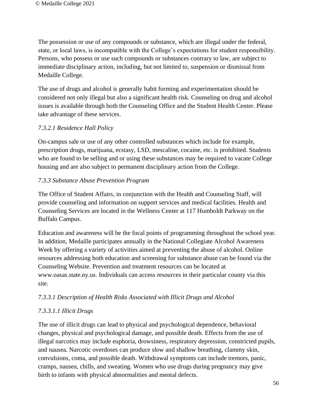The possession or use of any compounds or substance, which are illegal under the federal, state, or local laws, is incompatible with the College's expectations for student responsibility. Persons, who possess or use such compounds or substances contrary to law, are subject to immediate disciplinary action, including, but not limited to, suspension or dismissal from Medaille College.

The use of drugs and alcohol is generally habit forming and experimentation should be considered not only illegal but also a significant health risk. Counseling on drug and alcohol issues is available through both the Counseling Office and the Student Health Center. Please take advantage of these services.

#### *7.3.2.1 Residence Hall Policy*

On-campus sale or use of any other controlled substances which include for example, prescription drugs, marijuana, ecstasy, LSD, mescaline, cocaine, etc. is prohibited. Students who are found to be selling and or using these substances may be required to vacate College housing and are also subject to permanent disciplinary action from the College.

#### *7.3.3 Substance Abuse Prevention Program*

The Office of Student Affairs, in conjunction with the Health and Counseling Staff, will provide counseling and information on support services and medical facilities. Health and Counseling Services are located in the Wellness Center at 117 Humboldt Parkway on the Buffalo Campus.

Education and awareness will be the focal points of programming throughout the school year. In addition, Medaille participates annually in the National Collegiate Alcohol Awareness Week by offering a variety of activities aimed at preventing the abuse of alcohol. Online resources addressing both education and screening for substance abuse can be found via the Counseling Website. Prevention and treatment resources can be located at [www.oasas.state.ny.us.](http://www.oasas.state.ny.us/) Individuals can access resources in their particular county via this site.

#### *7.3.3.1 Description of Health Risks Associated with Illicit Drugs and Alcohol*

#### *7.3.3.1.1 Illicit Drugs*

The use of illicit drugs can lead to physical and psychological dependence, behavioral changes, physical and psychological damage, and possible death. Effects from the use of illegal narcotics may include euphoria, drowsiness, respiratory depression, constricted pupils, and nausea. Narcotic overdoses can produce slow and shallow breathing, clammy skin, convulsions, coma, and possible death. Withdrawal symptoms can include tremors, panic, cramps, nausea, chills, and sweating. Women who use drugs during pregnancy may give birth to infants with physical abnormalities and mental defects.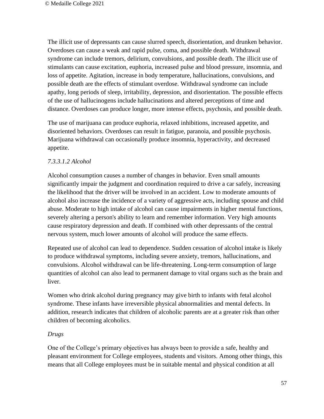The illicit use of depressants can cause slurred speech, disorientation, and drunken behavior. Overdoses can cause a weak and rapid pulse, coma, and possible death. Withdrawal syndrome can include tremors, delirium, convulsions, and possible death. The illicit use of stimulants can cause excitation, euphoria, increased pulse and blood pressure, insomnia, and loss of appetite. Agitation, increase in body temperature, hallucinations, convulsions, and possible death are the effects of stimulant overdose. Withdrawal syndrome can include apathy, long periods of sleep, irritability, depression, and disorientation. The possible effects of the use of hallucinogens include hallucinations and altered perceptions of time and distance. Overdoses can produce longer, more intense effects, psychosis, and possible death.

The use of marijuana can produce euphoria, relaxed inhibitions, increased appetite, and disoriented behaviors. Overdoses can result in fatigue, paranoia, and possible psychosis. Marijuana withdrawal can occasionally produce insomnia, hyperactivity, and decreased appetite.

#### *7.3.3.1.2 Alcohol*

Alcohol consumption causes a number of changes in behavior. Even small amounts significantly impair the judgment and coordination required to drive a car safely, increasing the likelihood that the driver will be involved in an accident. Low to moderate amounts of alcohol also increase the incidence of a variety of aggressive acts, including spouse and child abuse. Moderate to high intake of alcohol can cause impairments in higher mental functions, severely altering a person's ability to learn and remember information. Very high amounts cause respiratory depression and death. If combined with other depressants of the central nervous system, much lower amounts of alcohol will produce the same effects.

Repeated use of alcohol can lead to dependence. Sudden cessation of alcohol intake is likely to produce withdrawal symptoms, including severe anxiety, tremors, hallucinations, and convulsions. Alcohol withdrawal can be life-threatening. Long-term consumption of large quantities of alcohol can also lead to permanent damage to vital organs such as the brain and liver.

Women who drink alcohol during pregnancy may give birth to infants with fetal alcohol syndrome. These infants have irreversible physical abnormalities and mental defects. In addition, research indicates that children of alcoholic parents are at a greater risk than other children of becoming alcoholics.

#### *Drugs*

One of the College's primary objectives has always been to provide a safe, healthy and pleasant environment for College employees, students and visitors. Among other things, this means that all College employees must be in suitable mental and physical condition at all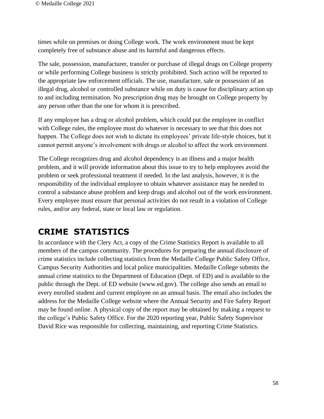times while on premises or doing College work. The work environment must be kept completely free of substance abuse and its harmful and dangerous effects.

The sale, possession, manufacturer, transfer or purchase of illegal drugs on College property or while performing College business is strictly prohibited. Such action will be reported to the appropriate law enforcement officials. The use, manufacture, sale or possession of an illegal drug, alcohol or controlled substance while on duty is cause for disciplinary action up to and including termination. No prescription drug may be brought on College property by any person other than the one for whom it is prescribed.

If any employee has a drug or alcohol problem, which could put the employee in conflict with College rules, the employee must do whatever is necessary to see that this does not happen. The College does not wish to dictate its employees' private life-style choices, but it cannot permit anyone's involvement with drugs or alcohol to affect the work environment.

The College recognizes drug and alcohol dependency is an illness and a major health problem, and it will provide information about this issue to try to help employees avoid the problem or seek professional treatment if needed. In the last analysis, however, it is the responsibility of the individual employee to obtain whatever assistance may be needed to control a substance abuse problem and keep drugs and alcohol out of the work environment. Every employee must ensure that personal activities do not result in a violation of College rules, and/or any federal, state or local law or regulation.

# **CRIME STATISTICS**

In accordance with the Clery Act, a copy of the Crime Statistics Report is available to all members of the campus community. The procedures for preparing the annual disclosure of crime statistics include collecting statistics from the Medaille College Public Safety Office, Campus Security Authorities and local police municipalities. Medaille College submits the annual crime statistics to the Department of Education (Dept. of ED) and is available to the public through the Dept. of ED website (www.ed.gov). The college also sends an email to every enrolled student and current employee on an annual basis. The email also includes the address for the Medaille College website where the Annual Security and Fire Safety Report may be found online. A physical copy of the report may be obtained by making a request to the college's Public Safety Office. For the 2020 reporting year, Public Safety Supervisor David Rice was responsible for collecting, maintaining, and reporting Crime Statistics.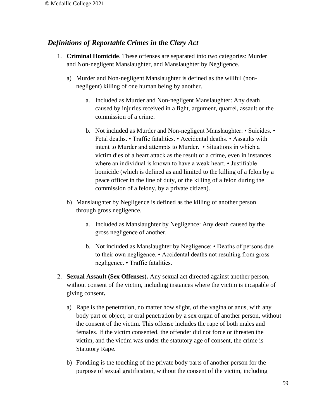## *Definitions of Reportable Crimes in the Clery Act*

- 1. **Criminal Homicide**. These offenses are separated into two categories: Murder and Non-negligent Manslaughter, and Manslaughter by Negligence.
	- a) Murder and Non-negligent Manslaughter is defined as the willful (nonnegligent) killing of one human being by another.
		- a. Included as Murder and Non-negligent Manslaughter: Any death caused by injuries received in a fight, argument, quarrel, assault or the commission of a crime.
		- b. Not included as Murder and Non-negligent Manslaughter: Suicides. Fetal deaths. • Traffic fatalities. • Accidental deaths. • Assaults with intent to Murder and attempts to Murder. • Situations in which a victim dies of a heart attack as the result of a crime, even in instances where an individual is known to have a weak heart. • Justifiable homicide (which is defined as and limited to the killing of a felon by a peace officer in the line of duty, or the killing of a felon during the commission of a felony, by a private citizen).
	- b) Manslaughter by Negligence is defined as the killing of another person through gross negligence.
		- a. Included as Manslaughter by Negligence: Any death caused by the gross negligence of another.
		- b. Not included as Manslaughter by Negligence: Deaths of persons due to their own negligence. • Accidental deaths not resulting from gross negligence. • Traffic fatalities.
- 2. **Sexual Assault (Sex Offenses).** Any sexual act directed against another person, without consent of the victim, including instances where the victim is incapable of giving consent**.** 
	- a) Rape is the penetration, no matter how slight, of the vagina or anus, with any body part or object, or oral penetration by a sex organ of another person, without the consent of the victim. This offense includes the rape of both males and females. If the victim consented, the offender did not force or threaten the victim, and the victim was under the statutory age of consent, the crime is Statutory Rape.
	- b) Fondling is the touching of the private body parts of another person for the purpose of sexual gratification, without the consent of the victim, including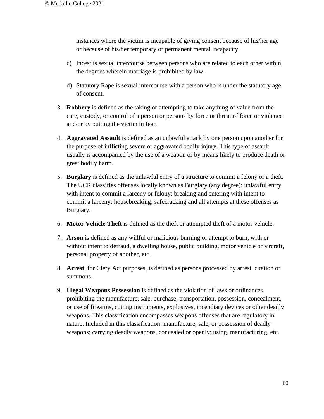instances where the victim is incapable of giving consent because of his/her age or because of his/her temporary or permanent mental incapacity.

- c) Incest is sexual intercourse between persons who are related to each other within the degrees wherein marriage is prohibited by law.
- d) Statutory Rape is sexual intercourse with a person who is under the statutory age of consent.
- 3. **Robbery** is defined as the taking or attempting to take anything of value from the care, custody, or control of a person or persons by force or threat of force or violence and/or by putting the victim in fear.
- 4. **Aggravated Assault** is defined as an unlawful attack by one person upon another for the purpose of inflicting severe or aggravated bodily injury. This type of assault usually is accompanied by the use of a weapon or by means likely to produce death or great bodily harm.
- 5. **Burglary** is defined as the unlawful entry of a structure to commit a felony or a theft. The UCR classifies offenses locally known as Burglary (any degree); unlawful entry with intent to commit a larceny or felony; breaking and entering with intent to commit a larceny; housebreaking; safecracking and all attempts at these offenses as Burglary.
- 6. **Motor Vehicle Theft** is defined as the theft or attempted theft of a motor vehicle.
- 7. **Arson** is defined as any willful or malicious burning or attempt to burn, with or without intent to defraud, a dwelling house, public building, motor vehicle or aircraft, personal property of another, etc.
- 8. **Arrest**, for Clery Act purposes, is defined as persons processed by arrest, citation or summons.
- 9. **Illegal Weapons Possession** is defined as the violation of laws or ordinances prohibiting the manufacture, sale, purchase, transportation, possession, concealment, or use of firearms, cutting instruments, explosives, incendiary devices or other deadly weapons. This classification encompasses weapons offenses that are regulatory in nature. Included in this classification: manufacture, sale, or possession of deadly weapons; carrying deadly weapons, concealed or openly; using, manufacturing, etc.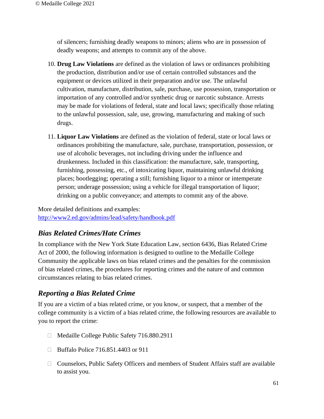of silencers; furnishing deadly weapons to minors; aliens who are in possession of deadly weapons; and attempts to commit any of the above.

- 10. **Drug Law Violations** are defined as the violation of laws or ordinances prohibiting the production, distribution and/or use of certain controlled substances and the equipment or devices utilized in their preparation and/or use. The unlawful cultivation, manufacture, distribution, sale, purchase, use possession, transportation or importation of any controlled and/or synthetic drug or narcotic substance. Arrests may be made for violations of federal, state and local laws; specifically those relating to the unlawful possession, sale, use, growing, manufacturing and making of such drugs.
- 11. **Liquor Law Violations** are defined as the violation of federal, state or local laws or ordinances prohibiting the manufacture, sale, purchase, transportation, possession, or use of alcoholic beverages, not including driving under the influence and drunkenness. Included in this classification: the manufacture, sale, transporting, furnishing, possessing, etc., of intoxicating liquor, maintaining unlawful drinking places; bootlegging; operating a still; furnishing liquor to a minor or intemperate person; underage possession; using a vehicle for illegal transportation of liquor; drinking on a public conveyance; and attempts to commit any of the above.

More detailed definitions and examples: <http://www2.ed.gov/admins/lead/safety/handbook.pdf>

## *Bias Related Crimes/Hate Crimes*

In compliance with the New York State Education Law, section 6436, Bias Related Crime Act of 2000, the following information is designed to outline to the Medaille College Community the applicable laws on bias related crimes and the penalties for the commission of bias related crimes, the procedures for reporting crimes and the nature of and common circumstances relating to bias related crimes.

#### *Reporting a Bias Related Crime*

If you are a victim of a bias related crime, or you know, or suspect, that a member of the college community is a victim of a bias related crime, the following resources are available to you to report the crime:

- □ Medaille College Public Safety 716.880.2911
- □ Buffalo Police 716.851.4403 or 911
- Counselors, Public Safety Officers and members of Student Affairs staff are available to assist you.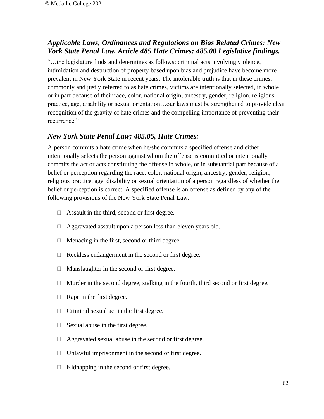# *Applicable Laws, Ordinances and Regulations on Bias Related Crimes: New York State Penal Law, Article 485 Hate Crimes: 485.00 Legislative findings.*

"…the legislature finds and determines as follows: criminal acts involving violence, intimidation and destruction of property based upon bias and prejudice have become more prevalent in New York State in recent years. The intolerable truth is that in these crimes, commonly and justly referred to as hate crimes, victims are intentionally selected, in whole or in part because of their race, color, national origin, ancestry, gender, religion, religious practice, age, disability or sexual orientation…our laws must be strengthened to provide clear recognition of the gravity of hate crimes and the compelling importance of preventing their recurrence."

#### *New York State Penal Law; 485.05, Hate Crimes:*

A person commits a hate crime when he/she commits a specified offense and either intentionally selects the person against whom the offense is committed or intentionally commits the act or acts constituting the offense in whole, or in substantial part because of a belief or perception regarding the race, color, national origin, ancestry, gender, religion, religious practice, age, disability or sexual orientation of a person regardless of whether the belief or perception is correct. A specified offense is an offense as defined by any of the following provisions of the New York State Penal Law:

- $\Box$  Assault in the third, second or first degree.
- □ Aggravated assault upon a person less than eleven years old.
- $\Box$  Menacing in the first, second or third degree.
- $\Box$  Reckless endangerment in the second or first degree.
- $\Box$  Manslaughter in the second or first degree.
- $\Box$  Murder in the second degree; stalking in the fourth, third second or first degree.
- $\Box$  Rape in the first degree.
- $\Box$  Criminal sexual act in the first degree.
- $\Box$  Sexual abuse in the first degree.
- $\Box$  Aggravated sexual abuse in the second or first degree.
- $\Box$  Unlawful imprisonment in the second or first degree.
- $\Box$  Kidnapping in the second or first degree.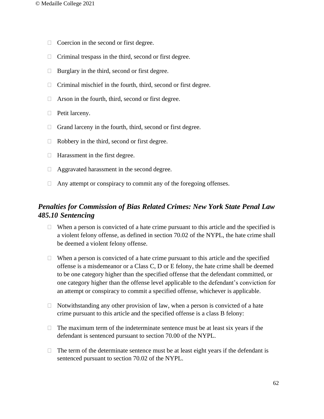- $\Box$  Coercion in the second or first degree.
- $\Box$  Criminal trespass in the third, second or first degree.
- $\Box$  Burglary in the third, second or first degree.
- $\Box$  Criminal mischief in the fourth, third, second or first degree.
- $\Box$  Arson in the fourth, third, second or first degree.
- **Petit larceny.**
- $\Box$  Grand larceny in the fourth, third, second or first degree.
- $\Box$  Robbery in the third, second or first degree.
- $\Box$  Harassment in the first degree.
- $\Box$  Aggravated harassment in the second degree.
- $\Box$  Any attempt or conspiracy to commit any of the foregoing offenses.

## *Penalties for Commission of Bias Related Crimes: New York State Penal Law 485.10 Sentencing*

- $\Box$  When a person is convicted of a hate crime pursuant to this article and the specified is a violent felony offense, as defined in section 70.02 of the NYPL, the hate crime shall be deemed a violent felony offense.
- $\Box$  When a person is convicted of a hate crime pursuant to this article and the specified offense is a misdemeanor or a Class C, D or E felony, the hate crime shall be deemed to be one category higher than the specified offense that the defendant committed, or one category higher than the offense level applicable to the defendant's conviction for an attempt or conspiracy to commit a specified offense, whichever is applicable.
- $\Box$  Notwithstanding any other provision of law, when a person is convicted of a hate crime pursuant to this article and the specified offense is a class B felony:
- $\Box$  The maximum term of the indeterminate sentence must be at least six years if the defendant is sentenced pursuant to section 70.00 of the NYPL.
- $\Box$  The term of the determinate sentence must be at least eight years if the defendant is sentenced pursuant to section 70.02 of the NYPL.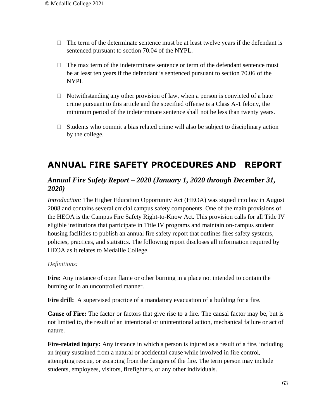- $\Box$  The term of the determinate sentence must be at least twelve years if the defendant is sentenced pursuant to section 70.04 of the NYPL.
- $\Box$  The max term of the indeterminate sentence or term of the defendant sentence must be at least ten years if the defendant is sentenced pursuant to section 70.06 of the NYPL.
- $\Box$  Notwithstanding any other provision of law, when a person is convicted of a hate crime pursuant to this article and the specified offense is a Class A-1 felony, the minimum period of the indeterminate sentence shall not be less than twenty years.
- $\Box$  Students who commit a bias related crime will also be subject to disciplinary action by the college.

# **ANNUAL FIRE SAFETY PROCEDURES AND REPORT**

# *Annual Fire Safety Report – 2020 (January 1, 2020 through December 31, 2020)*

*Introduction:* The Higher Education Opportunity Act (HEOA) was signed into law in August 2008 and contains several crucial campus safety components. One of the main provisions of the HEOA is the Campus Fire Safety Right-to-Know Act. This provision calls for all Title IV eligible institutions that participate in Title IV programs and maintain on-campus student housing facilities to publish an annual fire safety report that outlines fires safety systems, policies, practices, and statistics. The following report discloses all information required by HEOA as it relates to Medaille College.

#### *Definitions:*

**Fire:** Any instance of open flame or other burning in a place not intended to contain the burning or in an uncontrolled manner.

**Fire drill:** A supervised practice of a mandatory evacuation of a building for a fire.

**Cause of Fire:** The factor or factors that give rise to a fire. The causal factor may be, but is not limited to, the result of an intentional or unintentional action, mechanical failure or act of nature.

**Fire-related injury:** Any instance in which a person is injured as a result of a fire, including an injury sustained from a natural or accidental cause while involved in fire control, attempting rescue, or escaping from the dangers of the fire. The term person may include students, employees, visitors, firefighters, or any other individuals.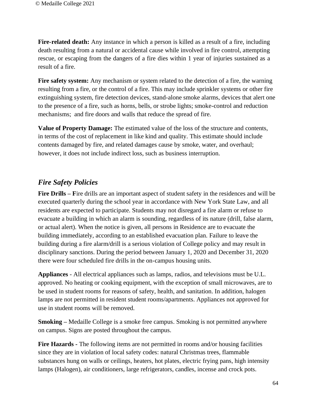**Fire-related death:** Any instance in which a person is killed as a result of a fire, including death resulting from a natural or accidental cause while involved in fire control, attempting rescue, or escaping from the dangers of a fire dies within 1 year of injuries sustained as a result of a fire.

**Fire safety system:** Any mechanism or system related to the detection of a fire, the warning resulting from a fire, or the control of a fire. This may include sprinkler systems or other fire extinguishing system, fire detection devices, stand-alone smoke alarms, devices that alert one to the presence of a fire, such as horns, bells, or strobe lights; smoke-control and reduction mechanisms; and fire doors and walls that reduce the spread of fire.

**Value of Property Damage:** The estimated value of the loss of the structure and contents, in terms of the cost of replacement in like kind and quality. This estimate should include contents damaged by fire, and related damages cause by smoke, water, and overhaul; however, it does not include indirect loss, such as business interruption.

#### *Fire Safety Policies*

**Fire Drills – F**ire drills are an important aspect of student safety in the residences and will be executed quarterly during the school year in accordance with New York State Law, and all residents are expected to participate. Students may not disregard a fire alarm or refuse to evacuate a building in which an alarm is sounding, regardless of its nature (drill, false alarm, or actual alert). When the notice is given, all persons in Residence are to evacuate the building immediately, according to an established evacuation plan. Failure to leave the building during a fire alarm/drill is a serious violation of College policy and may result in disciplinary sanctions. During the period between January 1, 2020 and December 31, 2020 there were four scheduled fire drills in the on-campus housing units.

**Appliances** - All electrical appliances such as lamps, radios, and televisions must be U.L. approved. No heating or cooking equipment, with the exception of small microwaves, are to be used in student rooms for reasons of safety, health, and sanitation. In addition, halogen lamps are not permitted in resident student rooms/apartments. Appliances not approved for use in student rooms will be removed.

**Smoking –** Medaille College is a smoke free campus. Smoking is not permitted anywhere on campus. Signs are posted throughout the campus.

**Fire Hazards -** The following items are not permitted in rooms and/or housing facilities since they are in violation of local safety codes: natural Christmas trees, flammable substances hung on walls or ceilings, heaters, hot plates, electric frying pans, high intensity lamps (Halogen), air conditioners, large refrigerators, candles, incense and crock pots.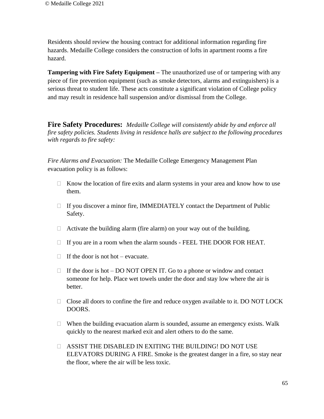Residents should review the housing contract for additional information regarding fire hazards. Medaille College considers the construction of lofts in apartment rooms a fire hazard.

**Tampering with Fire Safety Equipment –** The unauthorized use of or tampering with any piece of fire prevention equipment (such as smoke detectors, alarms and extinguishers) is a serious threat to student life. These acts constitute a significant violation of College policy and may result in residence hall suspension and/or dismissal from the College.

**Fire Safety Procedures:** *Medaille College will consistently abide by and enforce all fire safety policies. Students living in residence halls are subject to the following procedures with regards to fire safety:*

*Fire Alarms and Evacuation:* The Medaille College Emergency Management Plan evacuation policy is as follows:

- $\Box$  Know the location of fire exits and alarm systems in your area and know how to use them.
- $\Box$  If you discover a minor fire, IMMEDIATELY contact the Department of Public Safety.
- $\Box$  Activate the building alarm (fire alarm) on your way out of the building.
- $\Box$  If you are in a room when the alarm sounds FEEL THE DOOR FOR HEAT.
- $\Box$  If the door is not hot evacuate.
- $\Box$  If the door is hot DO NOT OPEN IT. Go to a phone or window and contact someone for help. Place wet towels under the door and stay low where the air is better.
- $\Box$  Close all doors to confine the fire and reduce oxygen available to it. DO NOT LOCK DOORS.
- $\Box$  When the building evacuation alarm is sounded, assume an emergency exists. Walk quickly to the nearest marked exit and alert others to do the same.
- ASSIST THE DISABLED IN EXITING THE BUILDING! DO NOT USE ELEVATORS DURING A FIRE. Smoke is the greatest danger in a fire, so stay near the floor, where the air will be less toxic.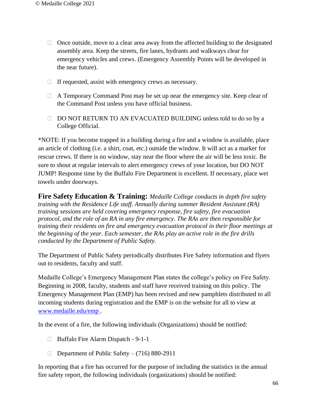- $\Box$  Once outside, move to a clear area away from the affected building to the designated assembly area. Keep the streets, fire lanes, hydrants and walkways clear for emergency vehicles and crews. (Emergency Assembly Points will be developed in the near future).
- $\Box$  If requested, assist with emergency crews as necessary.
- $\Box$  A Temporary Command Post may be set up near the emergency site. Keep clear of the Command Post unless you have official business.
- $\Box$  DO NOT RETURN TO AN EVACUATED BUILDING unless told to do so by a College Official.

\*NOTE: If you become trapped in a building during a fire and a window is available, place an article of clothing (i.e. a shirt, coat, etc.) outside the window. It will act as a marker for rescue crews. If there is no window, stay near the floor where the air will be less toxic. Be sure to shout at regular intervals to alert emergency crews of your location, but DO NOT JUMP! Response time by the Buffalo Fire Department is excellent. If necessary, place wet towels under doorways.

**Fire Safety Education & Training:** *Medaille College conducts in depth fire safety training with the Residence Life staff. Annually during summer Resident Assistant (RA) training sessions are held covering emergency response, fire safety, fire evacuation protocol, and the role of an RA in any fire emergency. The RAs are then responsible for training their residents on fire and emergency evacuation protocol in their floor meetings at the beginning of the year. Each semester, the RAs play an active role in the fire drills conducted by the Department of Public Safety.*

The Department of Public Safety periodically distributes Fire Safety information and flyers out to residents, faculty and staff.

Medaille College's Emergency Management Plan states the college's policy on Fire Safety. Beginning in 2008, faculty, students and staff have received training on this policy. The Emergency Management Plan (EMP) has been revised and new pamphlets distributed to all incoming students during registration and the EMP is on the website for all to view at [www.medaille.edu/emp](http://www.medaille.edu/emp) .

In the event of a fire, the following individuals (Organizations) should be notified:

- □ Buffalo Fire Alarm Dispatch 9-1-1
- Department of Public Safety  $(716) 880-2911$

In reporting that a fire has occurred for the purpose of including the statistics in the annual fire safety report, the following individuals (organizations) should be notified: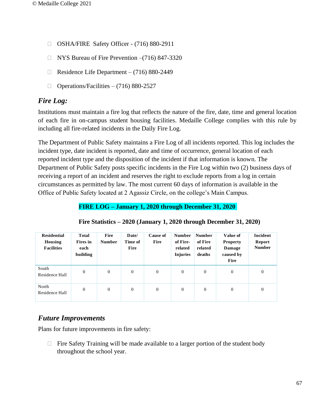- □ OSHA/FIRE Safety Officer (716) 880-2911
- $\Box$  NYS Bureau of Fire Prevention –(716) 847-3320
- $\Box$  Residence Life Department (716) 880-2449
- $\Box$  Operations/Facilities (716) 880-2527

## *Fire Log:*

Institutions must maintain a fire log that reflects the nature of the fire, date, time and general location of each fire in on-campus student housing facilities. Medaille College complies with this rule by including all fire-related incidents in the Daily Fire Log.

The Department of Public Safety maintains a Fire Log of all incidents reported. This log includes the incident type, date incident is reported, date and time of occurrence, general location of each reported incident type and the disposition of the incident if that information is known. The Department of Public Safety posts specific incidents in the Fire Log within two (2) business days of receiving a report of an incident and reserves the right to exclude reports from a log in certain circumstances as permitted by law. The most current 60 days of information is available in the Office of Public Safety located at 2 Agassiz Circle, on the college's Main Campus.

#### **FIRE LOG – January 1, 2020 through December 31, 2020**

| <b>Residential</b><br>Housing<br><b>Facilities</b> | Total<br><b>Fires</b> in<br>each<br>building | Fire<br><b>Number</b> | Date/<br>Time of<br>Fire | Cause of<br><b>Fire</b> | Number<br>of Fire-<br>related<br><b>Injuries</b> | <b>Number</b><br>of Fire<br>related<br>deaths | Value of<br><b>Property</b><br>Damage<br>caused by<br>Fire | Incident<br>Report<br><b>Number</b> |
|----------------------------------------------------|----------------------------------------------|-----------------------|--------------------------|-------------------------|--------------------------------------------------|-----------------------------------------------|------------------------------------------------------------|-------------------------------------|
| South<br>Residence Hall                            | $\mathbf{0}$                                 | $\mathbf{0}$          | $\mathbf{0}$             | $\mathbf{0}$            | $\theta$                                         | $\theta$                                      | $\theta$                                                   | $\boldsymbol{0}$                    |
| North<br>Residence Hall                            | $\mathbf{0}$                                 | $\mathbf{0}$          | $\mathbf{0}$             | $\overline{0}$          | $\overline{0}$                                   | $\theta$                                      | $\Omega$                                                   | $\mathbf{0}$                        |

#### **Fire Statistics – 2020 (January 1, 2020 through December 31, 2020)**

## *Future Improvements*

Plans for future improvements in fire safety:

 $\Box$  Fire Safety Training will be made available to a larger portion of the student body throughout the school year.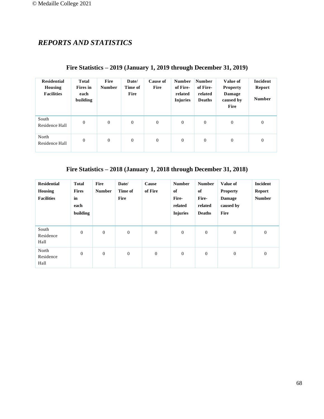# *REPORTS AND STATISTICS*

| <b>Residential</b><br>Housing<br><b>Facilities</b> | Total<br><b>Fires</b> in<br>each<br>building | Fire<br><b>Number</b> | Date/<br>Time of<br>Fire | Cause of<br><b>Fire</b> | <b>Number</b><br>of Fire-<br>related<br><b>Injuries</b> | <b>Number</b><br>of Fire-<br>related<br><b>Deaths</b> | Value of<br><b>Property</b><br>Damage<br>caused by<br>Fire | Incident<br>Report<br><b>Number</b> |
|----------------------------------------------------|----------------------------------------------|-----------------------|--------------------------|-------------------------|---------------------------------------------------------|-------------------------------------------------------|------------------------------------------------------------|-------------------------------------|
| South<br>Residence Hall                            | $\theta$                                     | $\mathbf{0}$          | $\theta$                 | $\overline{0}$          | $\theta$                                                | $\mathbf{0}$                                          | $\mathbf{0}$                                               | $\mathbf{0}$                        |
| North<br>Residence Hall                            | $\mathbf{0}$                                 | $\mathbf{0}$          | $\theta$                 | $\overline{0}$          | $\theta$                                                | $\theta$                                              | $\mathbf{0}$                                               | $\theta$                            |

#### **Fire Statistics – 2019 (January 1, 2019 through December 31, 2019)**

**Fire Statistics – 2018 (January 1, 2018 through December 31, 2018)**

| <b>Residential</b><br><b>Housing</b><br><b>Facilities</b> | <b>Total</b><br><b>Fires</b><br>in<br>each<br>building | <b>Fire</b><br><b>Number</b> | Date/<br>Time of<br><b>Fire</b> | Cause<br>of Fire | <b>Number</b><br>of<br>Fire-<br>related<br><b>Injuries</b> | <b>Number</b><br>of<br>Fire-<br>related<br><b>Deaths</b> | Value of<br><b>Property</b><br><b>Damage</b><br>caused by<br>Fire | <b>Incident</b><br><b>Report</b><br><b>Number</b> |
|-----------------------------------------------------------|--------------------------------------------------------|------------------------------|---------------------------------|------------------|------------------------------------------------------------|----------------------------------------------------------|-------------------------------------------------------------------|---------------------------------------------------|
| South<br>Residence<br>Hall                                | $\boldsymbol{0}$                                       | $\mathbf{0}$                 | $\boldsymbol{0}$                | $\theta$         | $\mathbf{0}$                                               | $\mathbf{0}$                                             | $\overline{0}$                                                    | $\boldsymbol{0}$                                  |
| North<br>Residence<br>Hall                                | $\boldsymbol{0}$                                       | $\mathbf{0}$                 | $\mathbf{0}$                    | $\theta$         | $\theta$                                                   | $\boldsymbol{0}$                                         | $\overline{0}$                                                    | $\boldsymbol{0}$                                  |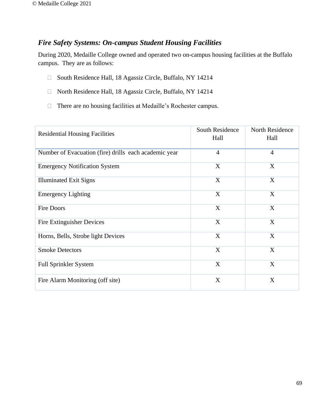## *Fire Safety Systems: On-campus Student Housing Facilities*

During 2020, Medaille College owned and operated two on-campus housing facilities at the Buffalo campus. They are as follows:

- □ South Residence Hall, 18 Agassiz Circle, Buffalo, NY 14214
- □ North Residence Hall, 18 Agassiz Circle, Buffalo, NY 14214
- There are no housing facilities at Medaille's Rochester campus.

| <b>Residential Housing Facilities</b>                 | South Residence<br>Hall | North Residence<br>Hall |
|-------------------------------------------------------|-------------------------|-------------------------|
| Number of Evacuation (fire) drills each academic year | $\overline{4}$          | $\overline{4}$          |
| <b>Emergency Notification System</b>                  | X                       | X                       |
| <b>Illuminated Exit Signs</b>                         | X                       | X                       |
| <b>Emergency Lighting</b>                             | X                       | X                       |
| <b>Fire Doors</b>                                     | X                       | X                       |
| <b>Fire Extinguisher Devices</b>                      | X                       | X                       |
| Horns, Bells, Strobe light Devices                    | X                       | X                       |
| <b>Smoke Detectors</b>                                | X                       | X                       |
| <b>Full Sprinkler System</b>                          | X                       | X                       |
| Fire Alarm Monitoring (off site)                      | X                       | X                       |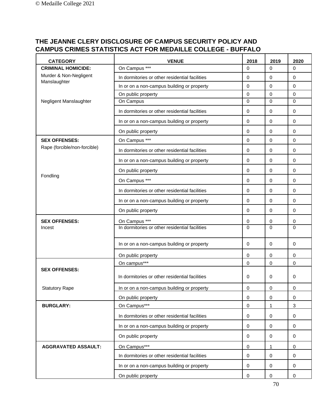## **THE JEANNE CLERY DISCLOSURE OF CAMPUS SECURITY POLICY AND CAMPUS CRIMES STATISTICS ACT FOR MEDAILLE COLLEGE - BUFFALO**

| <b>CATEGORY</b>                        | <b>VENUE</b>                                   | 2018        | 2019        | 2020        |
|----------------------------------------|------------------------------------------------|-------------|-------------|-------------|
| <b>CRIMINAL HOMICIDE:</b>              | On Campus ***                                  | $\mathbf 0$ | $\Omega$    | $\Omega$    |
| Murder & Non-Negligent<br>Manslaughter | In dormitories or other residential facilities | $\mathbf 0$ | $\mathbf 0$ | $\Omega$    |
|                                        | In or on a non-campus building or property     | $\mathbf 0$ | 0           | $\Omega$    |
|                                        | On public property                             | $\mathbf 0$ | 0           | $\Omega$    |
| Negligent Manslaughter                 | On Campus                                      | $\mathbf 0$ | 0           | $\Omega$    |
|                                        | In dormitories or other residential facilities | 0           | 0           | $\Omega$    |
|                                        | In or on a non-campus building or property     | $\mathbf 0$ | 0           | $\Omega$    |
|                                        | On public property                             | 0           | 0           | 0           |
| <b>SEX OFFENSES:</b>                   | On Campus ***                                  | $\mathbf 0$ | 0           | $\Omega$    |
| Rape (forcible/non-forcible)           | In dormitories or other residential facilities | 0           | 0           | 0           |
|                                        | In or on a non-campus building or property     | 0           | 0           | $\Omega$    |
|                                        | On public property                             | $\mathbf 0$ | 0           | 0           |
| Fondling                               | On Campus ***                                  | $\mathbf 0$ | 0           | $\Omega$    |
|                                        | In dormitories or other residential facilities | 0           | 0           | $\Omega$    |
|                                        | In or on a non-campus building or property     | 0           | 0           | $\Omega$    |
|                                        | On public property                             | 0           | 0           | $\Omega$    |
| <b>SEX OFFENSES:</b>                   | On Campus ***                                  | 0           | 0           | 0           |
| Incest                                 | In dormitories or other residential facilities | $\Omega$    | $\Omega$    | $\Omega$    |
|                                        | In or on a non-campus building or property     | $\mathbf 0$ | 0           | $\mathbf 0$ |
|                                        | On public property                             | 0           | 0           | 0           |
|                                        | On campus***                                   | 0           | 0           | 0           |
| <b>SEX OFFENSES:</b>                   | In dormitories or other residential facilities | $\mathbf 0$ | 0           | $\Omega$    |
| <b>Statutory Rape</b>                  | In or on a non-campus building or property     | $\Omega$    | 0           | $\Omega$    |
|                                        | On public property                             | $\mathbf 0$ | 0           | $\mathbf 0$ |
| <b>BURGLARY:</b>                       | On Campus***                                   | $\mathbf 0$ | 1           | 3           |
|                                        | In dormitories or other residential facilities | $\mathbf 0$ | 0           | $\Omega$    |
|                                        | In or on a non-campus building or property     | $\mathbf 0$ | $\mathbf 0$ | 0           |
|                                        | On public property                             | $\mathbf 0$ | 0           | $\Omega$    |
| <b>AGGRAVATED ASSAULT:</b>             | On Campus***                                   | $\mathbf 0$ | 1           | $\mathbf 0$ |
|                                        | In dormitories or other residential facilities | $\mathbf 0$ | $\mathbf 0$ | $\Omega$    |
|                                        | In or on a non-campus building or property     | $\mathbf 0$ | $\mathbf 0$ | $\Omega$    |
|                                        | On public property                             | $\mathbf 0$ | 0           | 0           |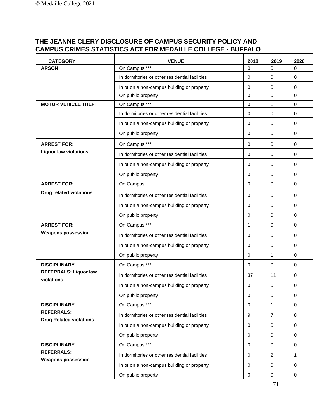## **THE JEANNE CLERY DISCLOSURE OF CAMPUS SECURITY POLICY AND CAMPUS CRIMES STATISTICS ACT FOR MEDAILLE COLLEGE - BUFFALO**

| <b>CATEGORY</b>                            | <b>VENUE</b>                                   | 2018        | 2019           | 2020        |
|--------------------------------------------|------------------------------------------------|-------------|----------------|-------------|
| <b>ARSON</b>                               | On Campus ***                                  | 0           | 0              | $\mathbf 0$ |
|                                            | In dormitories or other residential facilities | $\Omega$    | $\Omega$       | 0           |
|                                            | In or on a non-campus building or property     | 0           | $\Omega$       | $\Omega$    |
|                                            | On public property                             | 0           | 0              | 0           |
| <b>MOTOR VEHICLE THEFT</b>                 | On Campus ***                                  | $\mathbf 0$ | 1              | $\mathbf 0$ |
|                                            | In dormitories or other residential facilities | 0           | 0              | 0           |
|                                            | In or on a non-campus building or property     | 0           | 0              | 0           |
|                                            | On public property                             | 0           | $\Omega$       | 0           |
| <b>ARREST FOR:</b>                         | On Campus ***                                  | $\Omega$    | $\Omega$       | 0           |
| <b>Liquor law violations</b>               | In dormitories or other residential facilities | 0           | $\mathbf 0$    | $\mathbf 0$ |
|                                            | In or on a non-campus building or property     | 0           | 0              | 0           |
|                                            | On public property                             | 0           | $\Omega$       | 0           |
| <b>ARREST FOR:</b>                         | On Campus                                      | $\Omega$    | $\Omega$       | 0           |
| <b>Drug related violations</b>             | In dormitories or other residential facilities | 0           | 0              | 0           |
|                                            | In or on a non-campus building or property     | 0           | 0              | $\Omega$    |
|                                            | On public property                             | 0           | 0              | 0           |
| <b>ARREST FOR:</b>                         | On Campus ***                                  | 1           | $\Omega$       | 0           |
| <b>Weapons possession</b>                  | In dormitories or other residential facilities | 0           | 0              | 0           |
|                                            | In or on a non-campus building or property     | 0           | 0              | 0           |
|                                            | On public property                             | 0           | 1              | 0           |
| <b>DISCIPLINARY</b>                        | On Campus ***                                  | $\Omega$    | $\Omega$       | 0           |
| <b>REFERRALS: Liquor law</b><br>violations | In dormitories or other residential facilities | 37          | 11             | 0           |
|                                            | In or on a non-campus building or property     | 0           | 0              | 0           |
|                                            | On public property                             | 0           | 0              | 0           |
| <b>DISCIPLINARY</b>                        | On Campus ***                                  | $\mathbf 0$ | 1              | $\mathbf 0$ |
| <b>REFERRALS:</b>                          | In dormitories or other residential facilities | 9           | $\overline{7}$ | 8           |
| <b>Drug Related violations</b>             | In or on a non-campus building or property     | 0           | $\mathbf 0$    | 0           |
|                                            | On public property                             | $\mathbf 0$ | $\mathbf 0$    | $\mathbf 0$ |
| <b>DISCIPLINARY</b>                        | On Campus ***                                  | $\mathbf 0$ | $\mathbf 0$    | $\mathbf 0$ |
| <b>REFERRALS:</b>                          | In dormitories or other residential facilities | $\mathbf 0$ | 2              | $\mathbf 1$ |
| <b>Weapons possession</b>                  | In or on a non-campus building or property     | 0           | $\mathbf 0$    | 0           |
|                                            | On public property                             | $\mathbf 0$ | 0              | 0           |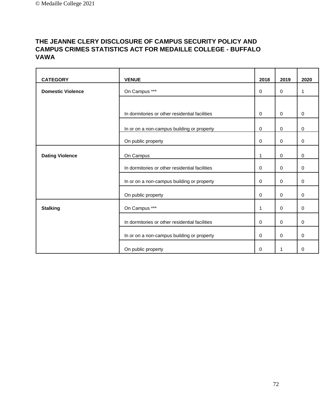### **THE JEANNE CLERY DISCLOSURE OF CAMPUS SECURITY POLICY AND CAMPUS CRIMES STATISTICS ACT FOR MEDAILLE COLLEGE - BUFFALO VAWA**

| <b>CATEGORY</b>          | <b>VENUE</b>                                   | 2018        | 2019        | 2020        |
|--------------------------|------------------------------------------------|-------------|-------------|-------------|
| <b>Domestic Violence</b> | On Campus ***                                  | $\mathbf 0$ | $\mathbf 0$ | 1           |
|                          |                                                |             |             |             |
|                          | In dormitories or other residential facilities | 0           | $\mathbf 0$ | $\mathbf 0$ |
|                          | In or on a non-campus building or property     | $\mathbf 0$ | 0           | $\mathbf 0$ |
|                          | On public property                             | $\mathbf 0$ | $\mathbf 0$ | 0           |
| <b>Dating Violence</b>   | On Campus                                      | 1           | $\mathbf 0$ | $\mathbf 0$ |
|                          | In dormitories or other residential facilities | $\mathbf 0$ | $\mathbf 0$ | $\mathbf 0$ |
|                          | In or on a non-campus building or property     | $\mathbf 0$ | $\mathbf 0$ | $\mathbf 0$ |
|                          | On public property                             | $\mathbf 0$ | $\mathbf 0$ | $\mathbf 0$ |
| <b>Stalking</b>          | On Campus ***                                  | 1           | $\mathbf 0$ | 0           |
|                          | In dormitories or other residential facilities | 0           | 0           | $\mathbf 0$ |
|                          | In or on a non-campus building or property     | $\mathbf 0$ | $\mathbf 0$ | 0           |
|                          | On public property                             | $\mathbf 0$ | 1           | 0           |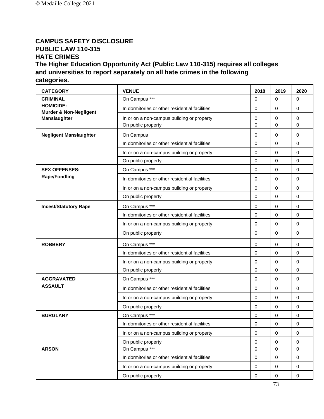### **CAMPUS SAFETY DISCLOSURE PUBLIC LAW 110-315 HATE CRIMES**

**The Higher Education Opportunity Act (Public Law 110-315) requires all colleges and universities to report separately on all hate crimes in the following categories.**

| <b>CATEGORY</b>                                               | <b>VENUE</b>                                   | 2018        | 2019        | 2020        |
|---------------------------------------------------------------|------------------------------------------------|-------------|-------------|-------------|
| <b>CRIMINAL</b><br><b>HOMICIDE:</b><br>Murder & Non-Negligent | On Campus ***                                  | $\Omega$    | $\Omega$    | $\Omega$    |
|                                                               | In dormitories or other residential facilities | 0           | $\Omega$    | 0           |
| Manslaughter                                                  | In or on a non-campus building or property     | 0           | 0           | 0           |
|                                                               | On public property                             | $\Omega$    | $\Omega$    | $\Omega$    |
| <b>Negligent Manslaughter</b>                                 | On Campus                                      | 0           | 0           | 0           |
|                                                               | In dormitories or other residential facilities | 0           | $\Omega$    | 0           |
|                                                               | In or on a non-campus building or property     | 0           | 0           | 0           |
|                                                               | On public property                             | 0           | $\Omega$    | $\Omega$    |
| <b>SEX OFFENSES:</b><br><b>Rape/Fondling</b>                  | On Campus ***                                  | 0           | 0           | 0           |
|                                                               | In dormitories or other residential facilities | $\Omega$    | $\Omega$    | $\Omega$    |
|                                                               | In or on a non-campus building or property     | $\Omega$    | $\Omega$    | $\Omega$    |
|                                                               | On public property                             | 0           | 0           | 0           |
| <b>Incest/Statutory Rape</b>                                  | On Campus ***                                  | 0           | 0           | 0           |
|                                                               | In dormitories or other residential facilities | 0           | $\Omega$    | 0           |
|                                                               | In or on a non-campus building or property     | 0           | 0           | 0           |
|                                                               | On public property                             | 0           | $\Omega$    | $\Omega$    |
| <b>ROBBERY</b>                                                | On Campus ***                                  | 0           | 0           | 0           |
|                                                               | In dormitories or other residential facilities | 0           | $\Omega$    | $\Omega$    |
|                                                               | In or on a non-campus building or property     | 0           | $\Omega$    | 0           |
|                                                               | On public property                             | 0           | $\mathbf 0$ | 0           |
| <b>AGGRAVATED</b><br><b>ASSAULT</b>                           | On Campus ***                                  | 0           | 0           | 0           |
|                                                               | In dormitories or other residential facilities | 0           | $\Omega$    | 0           |
|                                                               | In or on a non-campus building or property     | 0           | $\Omega$    | $\Omega$    |
|                                                               | On public property                             | 0           | $\Omega$    | 0           |
| <b>BURGLARY</b>                                               | On Campus ***                                  | 0           | 0           | 0           |
|                                                               | In dormitories or other residential facilities | $\mathbf 0$ | $\mathbf 0$ | $\mathbf 0$ |
|                                                               | In or on a non-campus building or property     | $\mathbf 0$ | $\mathbf 0$ | $\mathbf 0$ |
|                                                               | On public property                             | $\mathbf 0$ | $\mathbf 0$ | $\mathbf 0$ |
| <b>ARSON</b>                                                  | On Campus ***                                  | $\pmb{0}$   | $\pmb{0}$   | $\mathbf 0$ |
|                                                               | In dormitories or other residential facilities | $\mathbf 0$ | 0           | $\mathbf 0$ |
|                                                               | In or on a non-campus building or property     | $\mathbf 0$ | $\mathbf 0$ | $\mathbf 0$ |
|                                                               | On public property                             | 0           | 0           | 0           |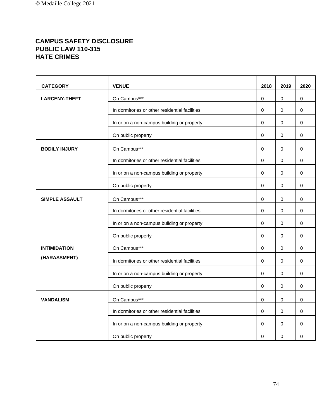#### **CAMPUS SAFETY DISCLOSURE PUBLIC LAW 110-315 HATE CRIMES**

| <b>CATEGORY</b>       | <b>VENUE</b>                                   | 2018        | 2019        | 2020        |
|-----------------------|------------------------------------------------|-------------|-------------|-------------|
| <b>LARCENY-THEFT</b>  | On Campus***                                   | $\pmb{0}$   | $\pmb{0}$   | 0           |
|                       | In dormitories or other residential facilities | $\Omega$    | $\Omega$    | 0           |
|                       | In or on a non-campus building or property     | $\mathbf 0$ | 0           | 0           |
|                       | On public property                             | $\Omega$    | $\Omega$    | 0           |
| <b>BODILY INJURY</b>  | On Campus***                                   | 0           | 0           | 0           |
|                       | In dormitories or other residential facilities | $\mathbf 0$ | $\mathbf 0$ | $\pmb{0}$   |
|                       | In or on a non-campus building or property     | $\mathbf 0$ | $\mathbf 0$ | $\mathbf 0$ |
|                       | On public property                             | $\mathbf 0$ | $\mathbf 0$ | 0           |
| <b>SIMPLE ASSAULT</b> | On Campus***                                   | $\Omega$    | 0           | $\Omega$    |
|                       | In dormitories or other residential facilities | $\Omega$    | 0           | 0           |
|                       | In or on a non-campus building or property     | 0           | 0           | 0           |
|                       | On public property                             | $\Omega$    | $\Omega$    | 0           |
| <b>INTIMIDATION</b>   | On Campus***                                   | $\mathbf 0$ | 0           | 0           |
| (HARASSMENT)          | In dormitories or other residential facilities | $\Omega$    | $\Omega$    | $\Omega$    |
|                       | In or on a non-campus building or property     | $\Omega$    | $\Omega$    | 0           |
|                       | On public property                             | $\mathbf 0$ | 0           | $\pmb{0}$   |
| <b>VANDALISM</b>      | On Campus***                                   | 0           | 0           | 0           |
|                       | In dormitories or other residential facilities | $\mathbf 0$ | $\mathbf 0$ | $\mathbf 0$ |
|                       | In or on a non-campus building or property     | $\mathbf 0$ | $\mathbf 0$ | 0           |
|                       | On public property                             | $\Omega$    | 0           | 0           |